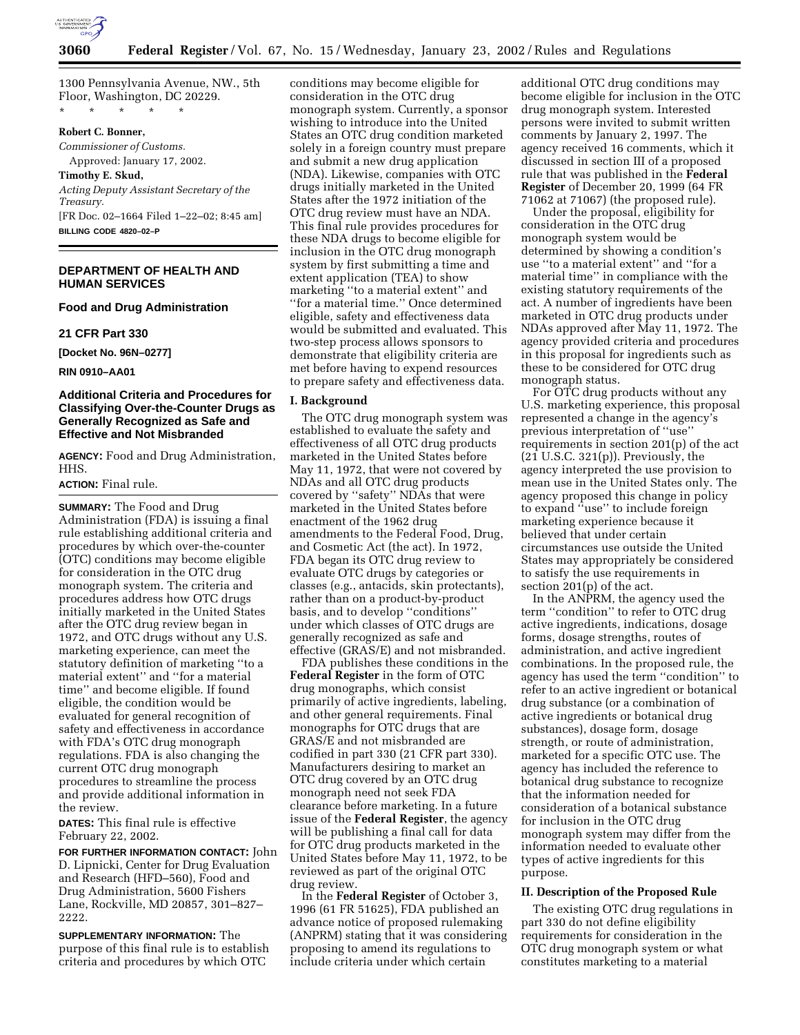

1300 Pennsylvania Avenue, NW., 5th Floor, Washington, DC 20229.

\* \* \* \* \*

# **Robert C. Bonner,**

*Commissioner of Customs.* Approved: January 17, 2002.

# **Timothy E. Skud,**

*Acting Deputy Assistant Secretary of the Treasury.*

[FR Doc. 02–1664 Filed 1–22–02; 8:45 am] **BILLING CODE 4820–02–P**

# **DEPARTMENT OF HEALTH AND HUMAN SERVICES**

# **Food and Drug Administration**

**21 CFR Part 330**

**[Docket No. 96N–0277]**

**RIN 0910–AA01**

## **Additional Criteria and Procedures for Classifying Over-the-Counter Drugs as Generally Recognized as Safe and Effective and Not Misbranded**

**AGENCY:** Food and Drug Administration, HHS.

# **ACTION:** Final rule.

**SUMMARY:** The Food and Drug Administration (FDA) is issuing a final rule establishing additional criteria and procedures by which over-the-counter (OTC) conditions may become eligible for consideration in the OTC drug monograph system. The criteria and procedures address how OTC drugs initially marketed in the United States after the OTC drug review began in 1972, and OTC drugs without any U.S. marketing experience, can meet the statutory definition of marketing ''to a material extent'' and ''for a material time'' and become eligible. If found eligible, the condition would be evaluated for general recognition of safety and effectiveness in accordance with FDA's OTC drug monograph regulations. FDA is also changing the current OTC drug monograph procedures to streamline the process and provide additional information in the review.

**DATES:** This final rule is effective February 22, 2002.

**FOR FURTHER INFORMATION CONTACT:** John D. Lipnicki, Center for Drug Evaluation and Research (HFD–560), Food and Drug Administration, 5600 Fishers Lane, Rockville, MD 20857, 301–827– 2222.

**SUPPLEMENTARY INFORMATION:** The purpose of this final rule is to establish criteria and procedures by which OTC

conditions may become eligible for consideration in the OTC drug monograph system. Currently, a sponsor wishing to introduce into the United States an OTC drug condition marketed solely in a foreign country must prepare and submit a new drug application (NDA). Likewise, companies with OTC drugs initially marketed in the United States after the 1972 initiation of the OTC drug review must have an NDA. This final rule provides procedures for these NDA drugs to become eligible for inclusion in the OTC drug monograph system by first submitting a time and extent application (TEA) to show marketing ''to a material extent'' and ''for a material time.'' Once determined eligible, safety and effectiveness data would be submitted and evaluated. This two-step process allows sponsors to demonstrate that eligibility criteria are met before having to expend resources to prepare safety and effectiveness data.

### **I. Background**

The OTC drug monograph system was established to evaluate the safety and effectiveness of all OTC drug products marketed in the United States before May 11, 1972, that were not covered by NDAs and all OTC drug products covered by ''safety'' NDAs that were marketed in the United States before enactment of the 1962 drug amendments to the Federal Food, Drug, and Cosmetic Act (the act). In 1972, FDA began its OTC drug review to evaluate OTC drugs by categories or classes (e.g., antacids, skin protectants), rather than on a product-by-product basis, and to develop ''conditions'' under which classes of OTC drugs are generally recognized as safe and effective (GRAS/E) and not misbranded.

FDA publishes these conditions in the **Federal Register** in the form of OTC drug monographs, which consist primarily of active ingredients, labeling, and other general requirements. Final monographs for OTC drugs that are GRAS/E and not misbranded are codified in part 330 (21 CFR part 330). Manufacturers desiring to market an OTC drug covered by an OTC drug monograph need not seek FDA clearance before marketing. In a future issue of the **Federal Register**, the agency will be publishing a final call for data for OTC drug products marketed in the United States before May 11, 1972, to be reviewed as part of the original OTC drug review.

In the **Federal Register** of October 3, 1996 (61 FR 51625), FDA published an advance notice of proposed rulemaking (ANPRM) stating that it was considering proposing to amend its regulations to include criteria under which certain

additional OTC drug conditions may become eligible for inclusion in the OTC drug monograph system. Interested persons were invited to submit written comments by January 2, 1997. The agency received 16 comments, which it discussed in section III of a proposed rule that was published in the **Federal Register** of December 20, 1999 (64 FR 71062 at 71067) (the proposed rule).

Under the proposal, eligibility for consideration in the OTC drug monograph system would be determined by showing a condition's use ''to a material extent'' and ''for a material time'' in compliance with the existing statutory requirements of the act. A number of ingredients have been marketed in OTC drug products under NDAs approved after May 11, 1972. The agency provided criteria and procedures in this proposal for ingredients such as these to be considered for OTC drug monograph status.

For OTC drug products without any U.S. marketing experience, this proposal represented a change in the agency's previous interpretation of ''use'' requirements in section 201(p) of the act  $(21 U.S.C. 321(p))$ . Previously, the agency interpreted the use provision to mean use in the United States only. The agency proposed this change in policy to expand ''use'' to include foreign marketing experience because it believed that under certain circumstances use outside the United States may appropriately be considered to satisfy the use requirements in section 201(p) of the act.

In the ANPRM, the agency used the term ''condition'' to refer to OTC drug active ingredients, indications, dosage forms, dosage strengths, routes of administration, and active ingredient combinations. In the proposed rule, the agency has used the term ''condition'' to refer to an active ingredient or botanical drug substance (or a combination of active ingredients or botanical drug substances), dosage form, dosage strength, or route of administration, marketed for a specific OTC use. The agency has included the reference to botanical drug substance to recognize that the information needed for consideration of a botanical substance for inclusion in the OTC drug monograph system may differ from the information needed to evaluate other types of active ingredients for this purpose.

### **II. Description of the Proposed Rule**

The existing OTC drug regulations in part 330 do not define eligibility requirements for consideration in the OTC drug monograph system or what constitutes marketing to a material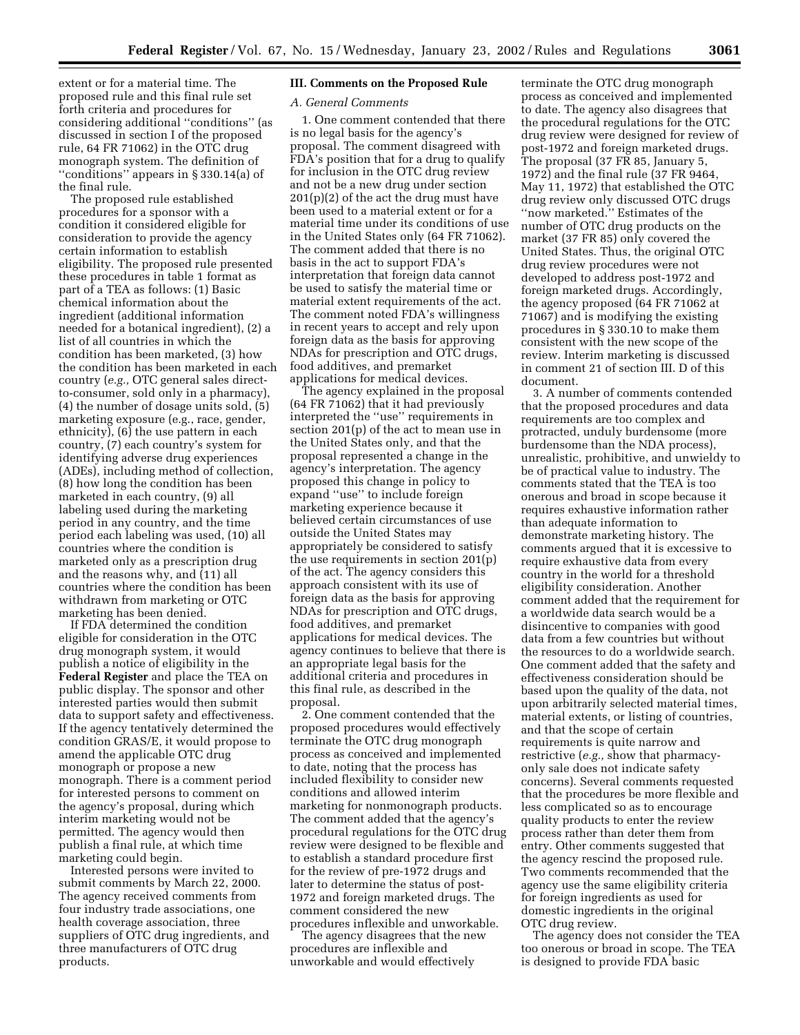extent or for a material time. The proposed rule and this final rule set forth criteria and procedures for considering additional ''conditions'' (as discussed in section I of the proposed rule, 64 FR 71062) in the OTC drug monograph system. The definition of ''conditions'' appears in § 330.14(a) of the final rule.

The proposed rule established procedures for a sponsor with a condition it considered eligible for consideration to provide the agency certain information to establish eligibility. The proposed rule presented these procedures in table 1 format as part of a TEA as follows: (1) Basic chemical information about the ingredient (additional information needed for a botanical ingredient), (2) a list of all countries in which the condition has been marketed, (3) how the condition has been marketed in each country (*e.g.,* OTC general sales directto-consumer, sold only in a pharmacy), (4) the number of dosage units sold, (5) marketing exposure (e.g., race, gender, ethnicity), (6) the use pattern in each country, (7) each country's system for identifying adverse drug experiences (ADEs), including method of collection, (8) how long the condition has been marketed in each country, (9) all labeling used during the marketing period in any country, and the time period each labeling was used, (10) all countries where the condition is marketed only as a prescription drug and the reasons why, and (11) all countries where the condition has been withdrawn from marketing or OTC marketing has been denied.

If FDA determined the condition eligible for consideration in the OTC drug monograph system, it would publish a notice of eligibility in the **Federal Register** and place the TEA on public display. The sponsor and other interested parties would then submit data to support safety and effectiveness. If the agency tentatively determined the condition GRAS/E, it would propose to amend the applicable OTC drug monograph or propose a new monograph. There is a comment period for interested persons to comment on the agency's proposal, during which interim marketing would not be permitted. The agency would then publish a final rule, at which time marketing could begin.

Interested persons were invited to submit comments by March 22, 2000. The agency received comments from four industry trade associations, one health coverage association, three suppliers of OTC drug ingredients, and three manufacturers of OTC drug products.

# **III. Comments on the Proposed Rule**

### *A. General Comments*

1. One comment contended that there is no legal basis for the agency's proposal. The comment disagreed with FDA's position that for a drug to qualify for inclusion in the OTC drug review and not be a new drug under section  $201(p)(2)$  of the act the drug must have been used to a material extent or for a material time under its conditions of use in the United States only (64 FR 71062). The comment added that there is no basis in the act to support FDA's interpretation that foreign data cannot be used to satisfy the material time or material extent requirements of the act. The comment noted FDA's willingness in recent years to accept and rely upon foreign data as the basis for approving NDAs for prescription and OTC drugs, food additives, and premarket applications for medical devices.

The agency explained in the proposal (64 FR 71062) that it had previously interpreted the ''use'' requirements in section 201(p) of the act to mean use in the United States only, and that the proposal represented a change in the agency's interpretation. The agency proposed this change in policy to expand ''use'' to include foreign marketing experience because it believed certain circumstances of use outside the United States may appropriately be considered to satisfy the use requirements in section 201(p) of the act. The agency considers this approach consistent with its use of foreign data as the basis for approving NDAs for prescription and OTC drugs, food additives, and premarket applications for medical devices. The agency continues to believe that there is an appropriate legal basis for the additional criteria and procedures in this final rule, as described in the proposal.

2. One comment contended that the proposed procedures would effectively terminate the OTC drug monograph process as conceived and implemented to date, noting that the process has included flexibility to consider new conditions and allowed interim marketing for nonmonograph products. The comment added that the agency's procedural regulations for the OTC drug review were designed to be flexible and to establish a standard procedure first for the review of pre-1972 drugs and later to determine the status of post-1972 and foreign marketed drugs. The comment considered the new procedures inflexible and unworkable.

The agency disagrees that the new procedures are inflexible and unworkable and would effectively

terminate the OTC drug monograph process as conceived and implemented to date. The agency also disagrees that the procedural regulations for the OTC drug review were designed for review of post-1972 and foreign marketed drugs. The proposal (37 FR 85, January 5, 1972) and the final rule (37 FR 9464, May 11, 1972) that established the OTC drug review only discussed OTC drugs ''now marketed.'' Estimates of the number of OTC drug products on the market (37 FR 85) only covered the United States. Thus, the original OTC drug review procedures were not developed to address post-1972 and foreign marketed drugs. Accordingly, the agency proposed (64 FR 71062 at 71067) and is modifying the existing procedures in § 330.10 to make them consistent with the new scope of the review. Interim marketing is discussed in comment 21 of section III. D of this document.

3. A number of comments contended that the proposed procedures and data requirements are too complex and protracted, unduly burdensome (more burdensome than the NDA process), unrealistic, prohibitive, and unwieldy to be of practical value to industry. The comments stated that the TEA is too onerous and broad in scope because it requires exhaustive information rather than adequate information to demonstrate marketing history. The comments argued that it is excessive to require exhaustive data from every country in the world for a threshold eligibility consideration. Another comment added that the requirement for a worldwide data search would be a disincentive to companies with good data from a few countries but without the resources to do a worldwide search. One comment added that the safety and effectiveness consideration should be based upon the quality of the data, not upon arbitrarily selected material times, material extents, or listing of countries, and that the scope of certain requirements is quite narrow and restrictive (*e.g.,* show that pharmacyonly sale does not indicate safety concerns). Several comments requested that the procedures be more flexible and less complicated so as to encourage quality products to enter the review process rather than deter them from entry. Other comments suggested that the agency rescind the proposed rule. Two comments recommended that the agency use the same eligibility criteria for foreign ingredients as used for domestic ingredients in the original OTC drug review.

The agency does not consider the TEA too onerous or broad in scope. The TEA is designed to provide FDA basic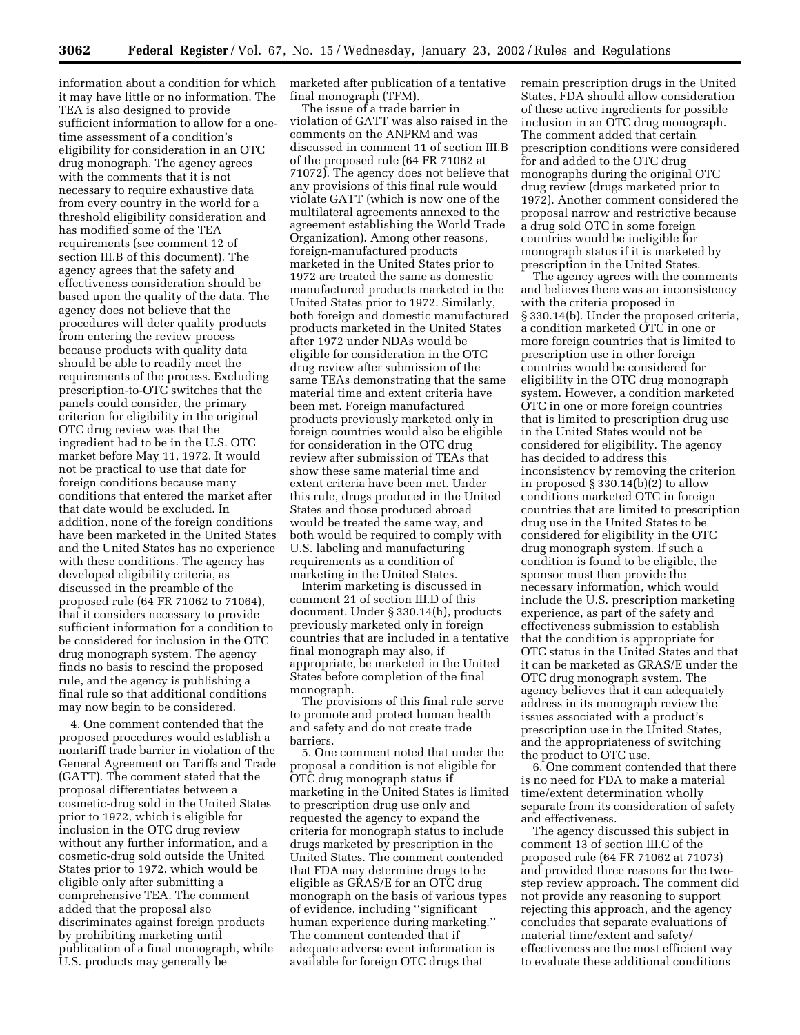information about a condition for which it may have little or no information. The TEA is also designed to provide sufficient information to allow for a onetime assessment of a condition's eligibility for consideration in an OTC drug monograph. The agency agrees with the comments that it is not necessary to require exhaustive data from every country in the world for a threshold eligibility consideration and has modified some of the TEA requirements (see comment 12 of section III.B of this document). The agency agrees that the safety and effectiveness consideration should be based upon the quality of the data. The agency does not believe that the procedures will deter quality products from entering the review process because products with quality data should be able to readily meet the requirements of the process. Excluding prescription-to-OTC switches that the panels could consider, the primary criterion for eligibility in the original OTC drug review was that the ingredient had to be in the U.S. OTC market before May 11, 1972. It would not be practical to use that date for foreign conditions because many conditions that entered the market after that date would be excluded. In addition, none of the foreign conditions have been marketed in the United States and the United States has no experience with these conditions. The agency has developed eligibility criteria, as discussed in the preamble of the proposed rule (64 FR 71062 to 71064), that it considers necessary to provide sufficient information for a condition to be considered for inclusion in the OTC drug monograph system. The agency finds no basis to rescind the proposed rule, and the agency is publishing a final rule so that additional conditions may now begin to be considered.

4. One comment contended that the proposed procedures would establish a nontariff trade barrier in violation of the General Agreement on Tariffs and Trade (GATT). The comment stated that the proposal differentiates between a cosmetic-drug sold in the United States prior to 1972, which is eligible for inclusion in the OTC drug review without any further information, and a cosmetic-drug sold outside the United States prior to 1972, which would be eligible only after submitting a comprehensive TEA. The comment added that the proposal also discriminates against foreign products by prohibiting marketing until publication of a final monograph, while U.S. products may generally be

marketed after publication of a tentative final monograph (TFM).

The issue of a trade barrier in violation of GATT was also raised in the comments on the ANPRM and was discussed in comment 11 of section III.B of the proposed rule (64 FR 71062 at 71072). The agency does not believe that any provisions of this final rule would violate GATT (which is now one of the multilateral agreements annexed to the agreement establishing the World Trade Organization). Among other reasons, foreign-manufactured products marketed in the United States prior to 1972 are treated the same as domestic manufactured products marketed in the United States prior to 1972. Similarly, both foreign and domestic manufactured products marketed in the United States after 1972 under NDAs would be eligible for consideration in the OTC drug review after submission of the same TEAs demonstrating that the same material time and extent criteria have been met. Foreign manufactured products previously marketed only in foreign countries would also be eligible for consideration in the OTC drug review after submission of TEAs that show these same material time and extent criteria have been met. Under this rule, drugs produced in the United States and those produced abroad would be treated the same way, and both would be required to comply with U.S. labeling and manufacturing requirements as a condition of marketing in the United States.

Interim marketing is discussed in comment 21 of section III.D of this document. Under § 330.14(h), products previously marketed only in foreign countries that are included in a tentative final monograph may also, if appropriate, be marketed in the United States before completion of the final monograph.

The provisions of this final rule serve to promote and protect human health and safety and do not create trade barriers.

5. One comment noted that under the proposal a condition is not eligible for OTC drug monograph status if marketing in the United States is limited to prescription drug use only and requested the agency to expand the criteria for monograph status to include drugs marketed by prescription in the United States. The comment contended that FDA may determine drugs to be eligible as GRAS/E for an OTC drug monograph on the basis of various types of evidence, including ''significant human experience during marketing.'' The comment contended that if adequate adverse event information is available for foreign OTC drugs that

remain prescription drugs in the United States, FDA should allow consideration of these active ingredients for possible inclusion in an OTC drug monograph. The comment added that certain prescription conditions were considered for and added to the OTC drug monographs during the original OTC drug review (drugs marketed prior to 1972). Another comment considered the proposal narrow and restrictive because a drug sold OTC in some foreign countries would be ineligible for monograph status if it is marketed by prescription in the United States.

The agency agrees with the comments and believes there was an inconsistency with the criteria proposed in § 330.14(b). Under the proposed criteria, a condition marketed OTC in one or more foreign countries that is limited to prescription use in other foreign countries would be considered for eligibility in the OTC drug monograph system. However, a condition marketed OTC in one or more foreign countries that is limited to prescription drug use in the United States would not be considered for eligibility. The agency has decided to address this inconsistency by removing the criterion in proposed § 330.14(b)(2) to allow conditions marketed OTC in foreign countries that are limited to prescription drug use in the United States to be considered for eligibility in the OTC drug monograph system. If such a condition is found to be eligible, the sponsor must then provide the necessary information, which would include the U.S. prescription marketing experience, as part of the safety and effectiveness submission to establish that the condition is appropriate for OTC status in the United States and that it can be marketed as GRAS/E under the OTC drug monograph system. The agency believes that it can adequately address in its monograph review the issues associated with a product's prescription use in the United States, and the appropriateness of switching the product to OTC use.

6. One comment contended that there is no need for FDA to make a material time/extent determination wholly separate from its consideration of safety and effectiveness.

The agency discussed this subject in comment 13 of section III.C of the proposed rule (64 FR 71062 at 71073) and provided three reasons for the twostep review approach. The comment did not provide any reasoning to support rejecting this approach, and the agency concludes that separate evaluations of material time/extent and safety/ effectiveness are the most efficient way to evaluate these additional conditions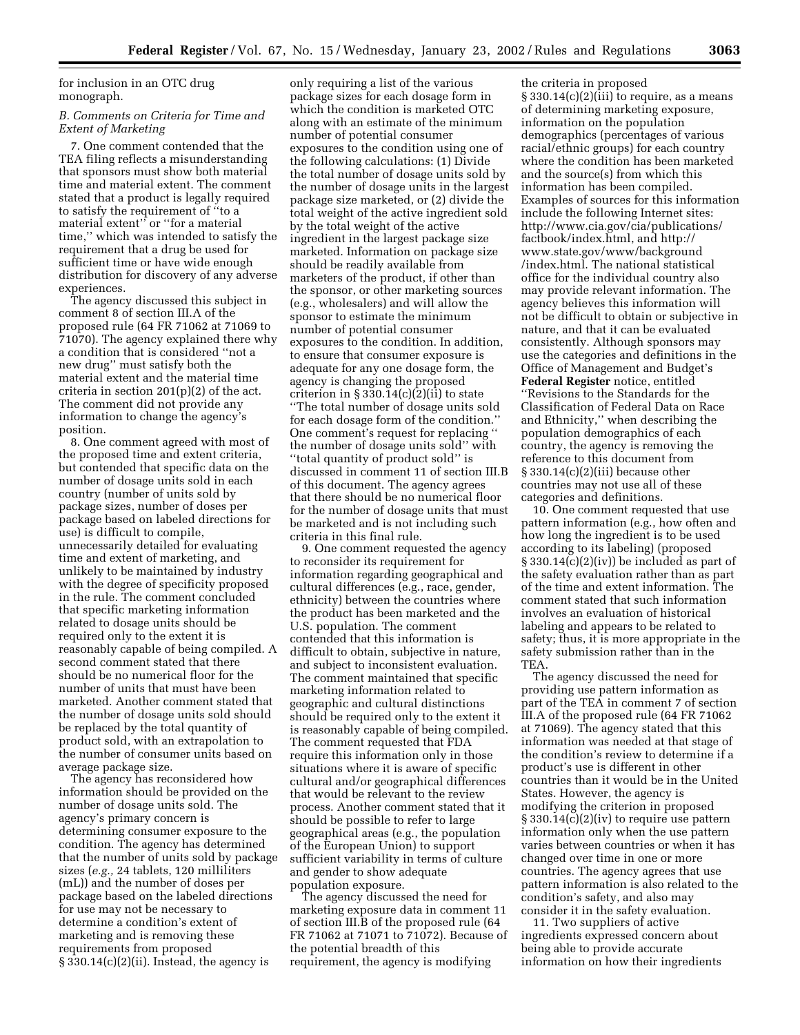for inclusion in an OTC drug monograph.

# *B. Comments on Criteria for Time and Extent of Marketing*

7. One comment contended that the TEA filing reflects a misunderstanding that sponsors must show both material time and material extent. The comment stated that a product is legally required to satisfy the requirement of ''to a material extent'' or ''for a material time,'' which was intended to satisfy the requirement that a drug be used for sufficient time or have wide enough distribution for discovery of any adverse experiences.

The agency discussed this subject in comment 8 of section III.A of the proposed rule (64 FR 71062 at 71069 to 71070). The agency explained there why a condition that is considered ''not a new drug'' must satisfy both the material extent and the material time criteria in section 201(p)(2) of the act. The comment did not provide any information to change the agency's position.

8. One comment agreed with most of the proposed time and extent criteria, but contended that specific data on the number of dosage units sold in each country (number of units sold by package sizes, number of doses per package based on labeled directions for use) is difficult to compile, unnecessarily detailed for evaluating time and extent of marketing, and unlikely to be maintained by industry with the degree of specificity proposed in the rule. The comment concluded that specific marketing information related to dosage units should be required only to the extent it is reasonably capable of being compiled. A second comment stated that there should be no numerical floor for the number of units that must have been marketed. Another comment stated that the number of dosage units sold should be replaced by the total quantity of product sold, with an extrapolation to the number of consumer units based on average package size.

The agency has reconsidered how information should be provided on the number of dosage units sold. The agency's primary concern is determining consumer exposure to the condition. The agency has determined that the number of units sold by package sizes (*e.g.,* 24 tablets, 120 milliliters (mL)) and the number of doses per package based on the labeled directions for use may not be necessary to determine a condition's extent of marketing and is removing these requirements from proposed  $§ 330.14(c)(2)(ii)$ . Instead, the agency is

only requiring a list of the various package sizes for each dosage form in which the condition is marketed OTC along with an estimate of the minimum number of potential consumer exposures to the condition using one of the following calculations: (1) Divide the total number of dosage units sold by the number of dosage units in the largest package size marketed, or (2) divide the total weight of the active ingredient sold by the total weight of the active ingredient in the largest package size marketed. Information on package size should be readily available from marketers of the product, if other than the sponsor, or other marketing sources (e.g., wholesalers) and will allow the sponsor to estimate the minimum number of potential consumer exposures to the condition. In addition, to ensure that consumer exposure is adequate for any one dosage form, the agency is changing the proposed criterion in  $\S 330.14(c)(2)(ii)$  to state ''The total number of dosage units sold for each dosage form of the condition.'' One comment's request for replacing '' the number of dosage units sold'' with ''total quantity of product sold'' is discussed in comment 11 of section III.B of this document. The agency agrees that there should be no numerical floor for the number of dosage units that must be marketed and is not including such criteria in this final rule.

9. One comment requested the agency to reconsider its requirement for information regarding geographical and cultural differences (e.g., race, gender, ethnicity) between the countries where the product has been marketed and the U.S. population. The comment contended that this information is difficult to obtain, subjective in nature, and subject to inconsistent evaluation. The comment maintained that specific marketing information related to geographic and cultural distinctions should be required only to the extent it is reasonably capable of being compiled. The comment requested that FDA require this information only in those situations where it is aware of specific cultural and/or geographical differences that would be relevant to the review process. Another comment stated that it should be possible to refer to large geographical areas (e.g., the population of the European Union) to support sufficient variability in terms of culture and gender to show adequate population exposure.

The agency discussed the need for marketing exposure data in comment 11 of section III.B of the proposed rule (64 FR 71062 at 71071 to 71072). Because of the potential breadth of this requirement, the agency is modifying

the criteria in proposed  $\S 330.14(c)(2)(iii)$  to require, as a means of determining marketing exposure, information on the population demographics (percentages of various racial/ethnic groups) for each country where the condition has been marketed and the source(s) from which this information has been compiled. Examples of sources for this information include the following Internet sites: http://www.cia.gov/cia/publications/ factbook/index.html, and http:// www.state.gov/www/background /index.html. The national statistical office for the individual country also may provide relevant information. The agency believes this information will not be difficult to obtain or subjective in nature, and that it can be evaluated consistently. Although sponsors may use the categories and definitions in the Office of Management and Budget's **Federal Register** notice, entitled ''Revisions to the Standards for the Classification of Federal Data on Race and Ethnicity,'' when describing the population demographics of each country, the agency is removing the reference to this document from § 330.14(c)(2)(iii) because other countries may not use all of these categories and definitions.

10. One comment requested that use pattern information (e.g., how often and how long the ingredient is to be used according to its labeling) (proposed  $\S 330.14(c)(2)(iv)$  be included as part of the safety evaluation rather than as part of the time and extent information. The comment stated that such information involves an evaluation of historical labeling and appears to be related to safety; thus, it is more appropriate in the safety submission rather than in the TEA.

The agency discussed the need for providing use pattern information as part of the TEA in comment 7 of section III.A of the proposed rule (64 FR 71062 at 71069). The agency stated that this information was needed at that stage of the condition's review to determine if a product's use is different in other countries than it would be in the United States. However, the agency is modifying the criterion in proposed § 330.14(c)(2)(iv) to require use pattern information only when the use pattern varies between countries or when it has changed over time in one or more countries. The agency agrees that use pattern information is also related to the condition's safety, and also may consider it in the safety evaluation.

11. Two suppliers of active ingredients expressed concern about being able to provide accurate information on how their ingredients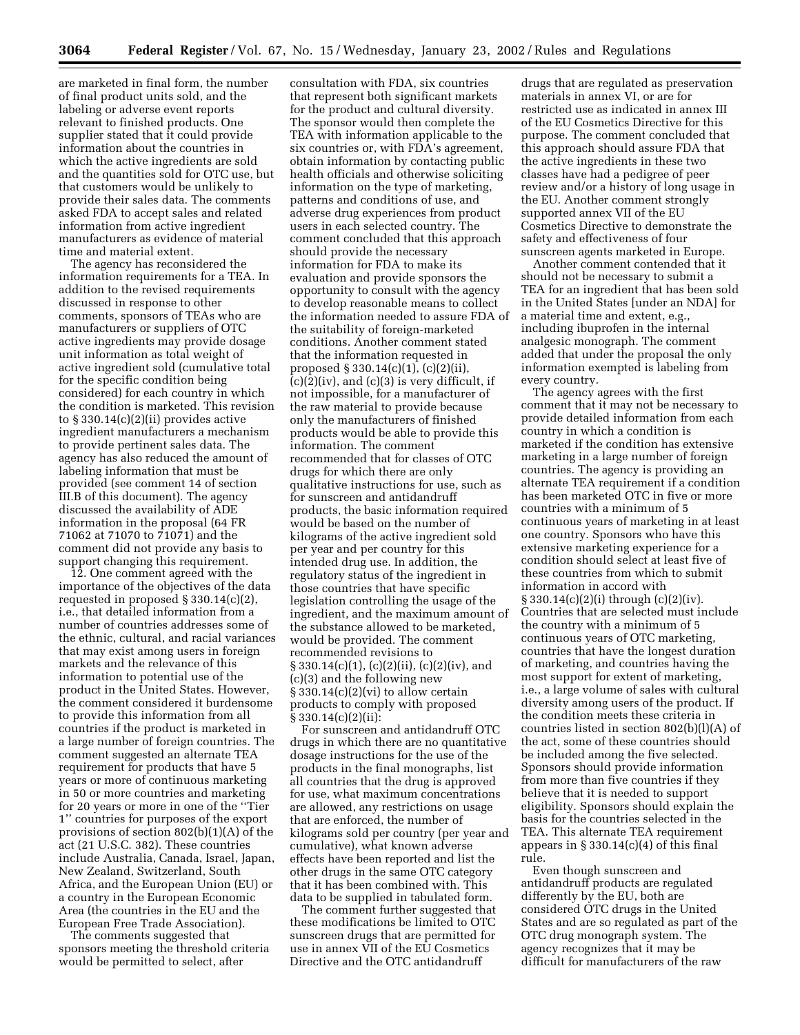are marketed in final form, the number of final product units sold, and the labeling or adverse event reports relevant to finished products. One supplier stated that it could provide information about the countries in which the active ingredients are sold and the quantities sold for OTC use, but that customers would be unlikely to provide their sales data. The comments asked FDA to accept sales and related information from active ingredient manufacturers as evidence of material time and material extent.

The agency has reconsidered the information requirements for a TEA. In addition to the revised requirements discussed in response to other comments, sponsors of TEAs who are manufacturers or suppliers of OTC active ingredients may provide dosage unit information as total weight of active ingredient sold (cumulative total for the specific condition being considered) for each country in which the condition is marketed. This revision to § 330.14(c)(2)(ii) provides active ingredient manufacturers a mechanism to provide pertinent sales data. The agency has also reduced the amount of labeling information that must be provided (see comment 14 of section III.B of this document). The agency discussed the availability of ADE information in the proposal (64 FR 71062 at 71070 to 71071) and the comment did not provide any basis to support changing this requirement.

12. One comment agreed with the importance of the objectives of the data requested in proposed § 330.14(c)(2), i.e., that detailed information from a number of countries addresses some of the ethnic, cultural, and racial variances that may exist among users in foreign markets and the relevance of this information to potential use of the product in the United States. However, the comment considered it burdensome to provide this information from all countries if the product is marketed in a large number of foreign countries. The comment suggested an alternate TEA requirement for products that have 5 years or more of continuous marketing in 50 or more countries and marketing for 20 years or more in one of the ''Tier 1'' countries for purposes of the export provisions of section 802(b)(1)(A) of the act (21 U.S.C. 382). These countries include Australia, Canada, Israel, Japan, New Zealand, Switzerland, South Africa, and the European Union (EU) or a country in the European Economic Area (the countries in the EU and the European Free Trade Association).

The comments suggested that sponsors meeting the threshold criteria would be permitted to select, after

consultation with FDA, six countries that represent both significant markets for the product and cultural diversity. The sponsor would then complete the TEA with information applicable to the six countries or, with FDA's agreement, obtain information by contacting public health officials and otherwise soliciting information on the type of marketing, patterns and conditions of use, and adverse drug experiences from product users in each selected country. The comment concluded that this approach should provide the necessary information for FDA to make its evaluation and provide sponsors the opportunity to consult with the agency to develop reasonable means to collect the information needed to assure FDA of the suitability of foreign-marketed conditions. Another comment stated that the information requested in proposed § 330.14(c)(1), (c)(2)(ii),  $(c)(2)(iv)$ , and  $(c)(3)$  is very difficult, if not impossible, for a manufacturer of the raw material to provide because only the manufacturers of finished products would be able to provide this information. The comment recommended that for classes of OTC drugs for which there are only qualitative instructions for use, such as for sunscreen and antidandruff products, the basic information required would be based on the number of kilograms of the active ingredient sold per year and per country for this intended drug use. In addition, the regulatory status of the ingredient in those countries that have specific legislation controlling the usage of the ingredient, and the maximum amount of the substance allowed to be marketed, would be provided. The comment recommended revisions to § 330.14(c)(1), (c)(2)(ii), (c)(2)(iv), and (c)(3) and the following new  $\S 330.14(c)(2)(vi)$  to allow certain products to comply with proposed § 330.14(c)(2)(ii):

For sunscreen and antidandruff OTC drugs in which there are no quantitative dosage instructions for the use of the products in the final monographs, list all countries that the drug is approved for use, what maximum concentrations are allowed, any restrictions on usage that are enforced, the number of kilograms sold per country (per year and cumulative), what known adverse effects have been reported and list the other drugs in the same OTC category that it has been combined with. This data to be supplied in tabulated form.

The comment further suggested that these modifications be limited to OTC sunscreen drugs that are permitted for use in annex VII of the EU Cosmetics Directive and the OTC antidandruff

drugs that are regulated as preservation materials in annex VI, or are for restricted use as indicated in annex III of the EU Cosmetics Directive for this purpose. The comment concluded that this approach should assure FDA that the active ingredients in these two classes have had a pedigree of peer review and/or a history of long usage in the EU. Another comment strongly supported annex VII of the EU Cosmetics Directive to demonstrate the safety and effectiveness of four sunscreen agents marketed in Europe.

Another comment contended that it should not be necessary to submit a TEA for an ingredient that has been sold in the United States [under an NDA] for a material time and extent, e.g., including ibuprofen in the internal analgesic monograph. The comment added that under the proposal the only information exempted is labeling from every country.

The agency agrees with the first comment that it may not be necessary to provide detailed information from each country in which a condition is marketed if the condition has extensive marketing in a large number of foreign countries. The agency is providing an alternate TEA requirement if a condition has been marketed OTC in five or more countries with a minimum of 5 continuous years of marketing in at least one country. Sponsors who have this extensive marketing experience for a condition should select at least five of these countries from which to submit information in accord with § 330.14(c)(2)(i) through (c)(2)(iv). Countries that are selected must include the country with a minimum of 5 continuous years of OTC marketing, countries that have the longest duration of marketing, and countries having the most support for extent of marketing, i.e., a large volume of sales with cultural diversity among users of the product. If the condition meets these criteria in countries listed in section 802(b)(l)(A) of the act, some of these countries should be included among the five selected. Sponsors should provide information from more than five countries if they believe that it is needed to support eligibility. Sponsors should explain the basis for the countries selected in the TEA. This alternate TEA requirement appears in  $\S 330.14(c)(4)$  of this final rule.

Even though sunscreen and antidandruff products are regulated differently by the EU, both are considered OTC drugs in the United States and are so regulated as part of the OTC drug monograph system. The agency recognizes that it may be difficult for manufacturers of the raw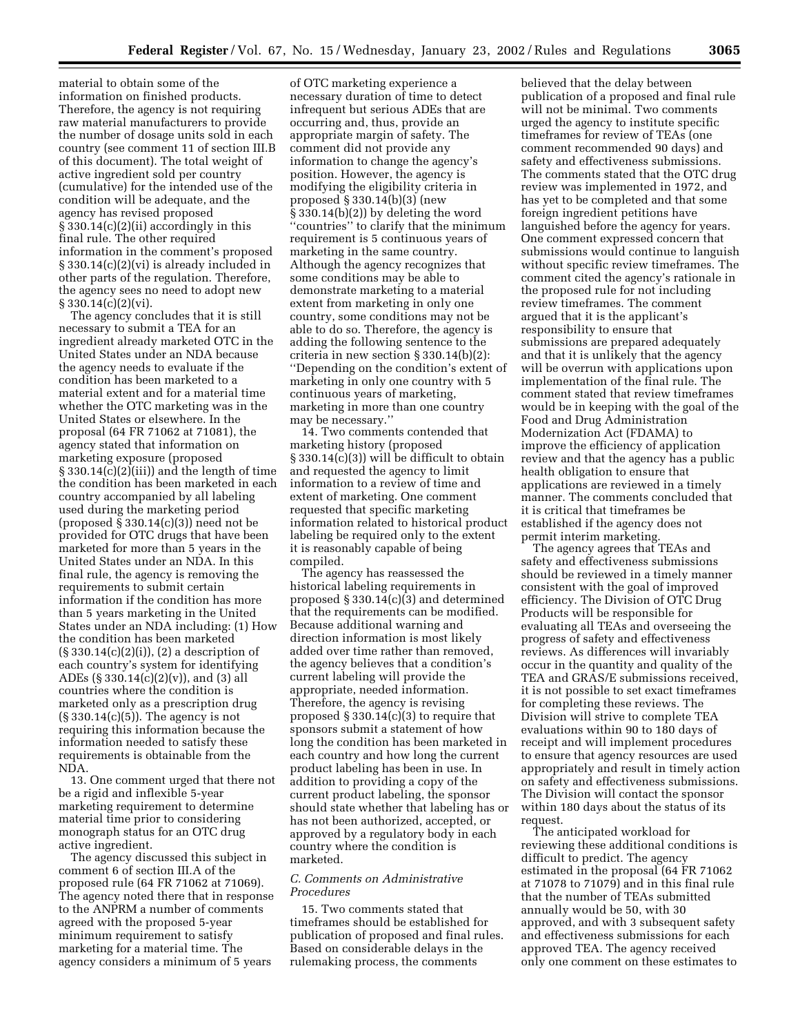material to obtain some of the information on finished products. Therefore, the agency is not requiring raw material manufacturers to provide the number of dosage units sold in each country (see comment 11 of section III.B of this document). The total weight of active ingredient sold per country (cumulative) for the intended use of the condition will be adequate, and the agency has revised proposed  $\S 330.14(c)(2)(ii)$  accordingly in this final rule. The other required information in the comment's proposed § 330.14(c)(2)(vi) is already included in other parts of the regulation. Therefore, the agency sees no need to adopt new § 330.14(c)(2)(vi).

The agency concludes that it is still necessary to submit a TEA for an ingredient already marketed OTC in the United States under an NDA because the agency needs to evaluate if the condition has been marketed to a material extent and for a material time whether the OTC marketing was in the United States or elsewhere. In the proposal (64 FR 71062 at 71081), the agency stated that information on marketing exposure (proposed  $\S 330.14(c)(2)(iii)$  and the length of time the condition has been marketed in each country accompanied by all labeling used during the marketing period (proposed  $\S 330.14(c)(3)$ ) need not be provided for OTC drugs that have been marketed for more than 5 years in the United States under an NDA. In this final rule, the agency is removing the requirements to submit certain information if the condition has more than 5 years marketing in the United States under an NDA including: (1) How the condition has been marketed  $(\S 330.14(c)(2)(i)), (2)$  a description of each country's system for identifying ADEs (§ 330.14(c)(2)(v)), and (3) all countries where the condition is marketed only as a prescription drug (§ 330.14(c)(5)). The agency is not requiring this information because the information needed to satisfy these requirements is obtainable from the NDA.

13. One comment urged that there not be a rigid and inflexible 5-year marketing requirement to determine material time prior to considering monograph status for an OTC drug active ingredient.

The agency discussed this subject in comment 6 of section III.A of the proposed rule (64 FR 71062 at 71069). The agency noted there that in response to the ANPRM a number of comments agreed with the proposed 5-year minimum requirement to satisfy marketing for a material time. The agency considers a minimum of 5 years

of OTC marketing experience a necessary duration of time to detect infrequent but serious ADEs that are occurring and, thus, provide an appropriate margin of safety. The comment did not provide any information to change the agency's position. However, the agency is modifying the eligibility criteria in proposed § 330.14(b)(3) (new § 330.14(b)(2)) by deleting the word ''countries'' to clarify that the minimum requirement is 5 continuous years of marketing in the same country. Although the agency recognizes that some conditions may be able to demonstrate marketing to a material extent from marketing in only one country, some conditions may not be able to do so. Therefore, the agency is adding the following sentence to the criteria in new section § 330.14(b)(2): ''Depending on the condition's extent of marketing in only one country with 5 continuous years of marketing, marketing in more than one country may be necessary.''

14. Two comments contended that marketing history (proposed § 330.14(c)(3)) will be difficult to obtain and requested the agency to limit information to a review of time and extent of marketing. One comment requested that specific marketing information related to historical product labeling be required only to the extent it is reasonably capable of being compiled.

The agency has reassessed the historical labeling requirements in proposed § 330.14(c)(3) and determined that the requirements can be modified. Because additional warning and direction information is most likely added over time rather than removed, the agency believes that a condition's current labeling will provide the appropriate, needed information. Therefore, the agency is revising proposed § 330.14(c)(3) to require that sponsors submit a statement of how long the condition has been marketed in each country and how long the current product labeling has been in use. In addition to providing a copy of the current product labeling, the sponsor should state whether that labeling has or has not been authorized, accepted, or approved by a regulatory body in each country where the condition is marketed.

### *C. Comments on Administrative Procedures*

15. Two comments stated that timeframes should be established for publication of proposed and final rules. Based on considerable delays in the rulemaking process, the comments

believed that the delay between publication of a proposed and final rule will not be minimal. Two comments urged the agency to institute specific timeframes for review of TEAs (one comment recommended 90 days) and safety and effectiveness submissions. The comments stated that the OTC drug review was implemented in 1972, and has yet to be completed and that some foreign ingredient petitions have languished before the agency for years. One comment expressed concern that submissions would continue to languish without specific review timeframes. The comment cited the agency's rationale in the proposed rule for not including review timeframes. The comment argued that it is the applicant's responsibility to ensure that submissions are prepared adequately and that it is unlikely that the agency will be overrun with applications upon implementation of the final rule. The comment stated that review timeframes would be in keeping with the goal of the Food and Drug Administration Modernization Act (FDAMA) to improve the efficiency of application review and that the agency has a public health obligation to ensure that applications are reviewed in a timely manner. The comments concluded that it is critical that timeframes be established if the agency does not permit interim marketing.

The agency agrees that TEAs and safety and effectiveness submissions should be reviewed in a timely manner consistent with the goal of improved efficiency. The Division of OTC Drug Products will be responsible for evaluating all TEAs and overseeing the progress of safety and effectiveness reviews. As differences will invariably occur in the quantity and quality of the TEA and GRAS/E submissions received, it is not possible to set exact timeframes for completing these reviews. The Division will strive to complete TEA evaluations within 90 to 180 days of receipt and will implement procedures to ensure that agency resources are used appropriately and result in timely action on safety and effectiveness submissions. The Division will contact the sponsor within 180 days about the status of its request.

The anticipated workload for reviewing these additional conditions is difficult to predict. The agency estimated in the proposal (64 FR 71062 at 71078 to 71079) and in this final rule that the number of TEAs submitted annually would be 50, with 30 approved, and with 3 subsequent safety and effectiveness submissions for each approved TEA. The agency received only one comment on these estimates to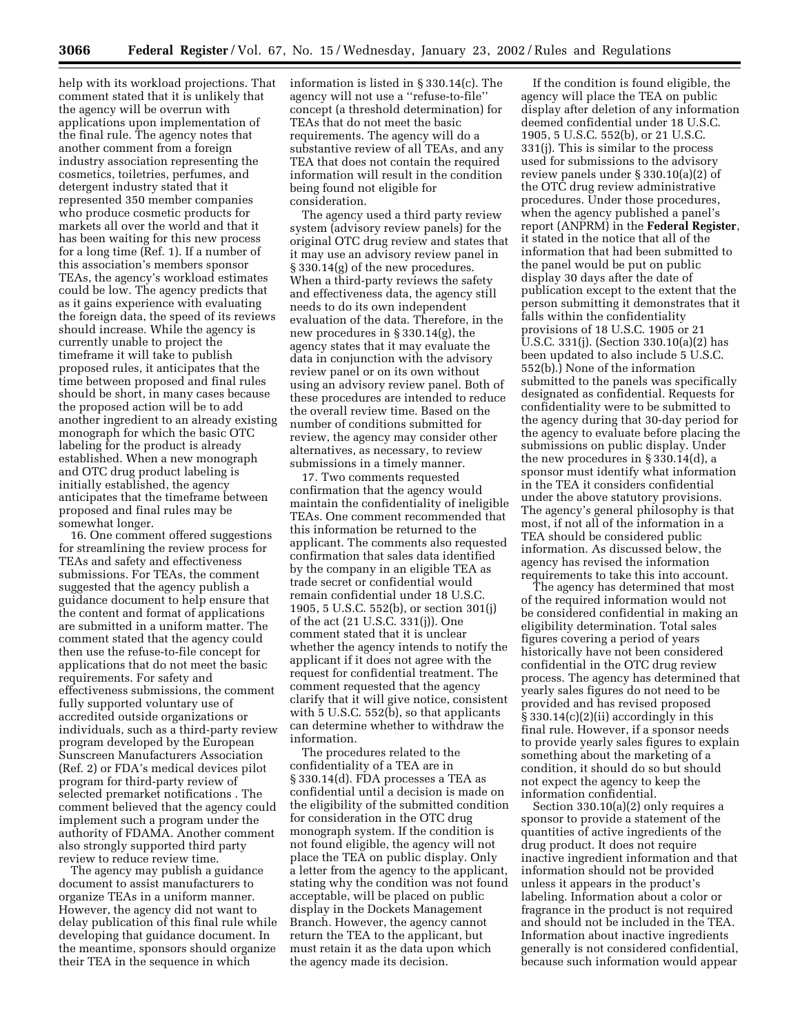help with its workload projections. That comment stated that it is unlikely that the agency will be overrun with applications upon implementation of the final rule. The agency notes that another comment from a foreign industry association representing the cosmetics, toiletries, perfumes, and detergent industry stated that it represented 350 member companies who produce cosmetic products for markets all over the world and that it has been waiting for this new process for a long time (Ref. 1). If a number of this association's members sponsor TEAs, the agency's workload estimates could be low. The agency predicts that as it gains experience with evaluating the foreign data, the speed of its reviews should increase. While the agency is currently unable to project the timeframe it will take to publish proposed rules, it anticipates that the time between proposed and final rules should be short, in many cases because the proposed action will be to add another ingredient to an already existing monograph for which the basic OTC labeling for the product is already established. When a new monograph and OTC drug product labeling is initially established, the agency anticipates that the timeframe between proposed and final rules may be somewhat longer.

16. One comment offered suggestions for streamlining the review process for TEAs and safety and effectiveness submissions. For TEAs, the comment suggested that the agency publish a guidance document to help ensure that the content and format of applications are submitted in a uniform matter. The comment stated that the agency could then use the refuse-to-file concept for applications that do not meet the basic requirements. For safety and effectiveness submissions, the comment fully supported voluntary use of accredited outside organizations or individuals, such as a third-party review program developed by the European Sunscreen Manufacturers Association (Ref. 2) or FDA's medical devices pilot program for third-party review of selected premarket notifications . The comment believed that the agency could implement such a program under the authority of FDAMA. Another comment also strongly supported third party review to reduce review time.

The agency may publish a guidance document to assist manufacturers to organize TEAs in a uniform manner. However, the agency did not want to delay publication of this final rule while developing that guidance document. In the meantime, sponsors should organize their TEA in the sequence in which

information is listed in § 330.14(c). The agency will not use a ''refuse-to-file'' concept (a threshold determination) for TEAs that do not meet the basic requirements. The agency will do a substantive review of all TEAs, and any TEA that does not contain the required information will result in the condition being found not eligible for consideration.

The agency used a third party review system (advisory review panels) for the original OTC drug review and states that it may use an advisory review panel in § 330.14(g) of the new procedures. When a third-party reviews the safety and effectiveness data, the agency still needs to do its own independent evaluation of the data. Therefore, in the new procedures in § 330.14(g), the agency states that it may evaluate the data in conjunction with the advisory review panel or on its own without using an advisory review panel. Both of these procedures are intended to reduce the overall review time. Based on the number of conditions submitted for review, the agency may consider other alternatives, as necessary, to review submissions in a timely manner.

17. Two comments requested confirmation that the agency would maintain the confidentiality of ineligible TEAs. One comment recommended that this information be returned to the applicant. The comments also requested confirmation that sales data identified by the company in an eligible TEA as trade secret or confidential would remain confidential under 18 U.S.C. 1905, 5 U.S.C. 552(b), or section 301(j) of the act (21 U.S.C. 331(j)). One comment stated that it is unclear whether the agency intends to notify the applicant if it does not agree with the request for confidential treatment. The comment requested that the agency clarify that it will give notice, consistent with 5 U.S.C. 552(b), so that applicants can determine whether to withdraw the information.

The procedures related to the confidentiality of a TEA are in § 330.14(d). FDA processes a TEA as confidential until a decision is made on the eligibility of the submitted condition for consideration in the OTC drug monograph system. If the condition is not found eligible, the agency will not place the TEA on public display. Only a letter from the agency to the applicant, stating why the condition was not found acceptable, will be placed on public display in the Dockets Management Branch. However, the agency cannot return the TEA to the applicant, but must retain it as the data upon which the agency made its decision.

If the condition is found eligible, the agency will place the TEA on public display after deletion of any information deemed confidential under 18 U.S.C. 1905, 5 U.S.C. 552(b), or 21 U.S.C. 331(j). This is similar to the process used for submissions to the advisory review panels under § 330.10(a)(2) of the OTC drug review administrative procedures. Under those procedures, when the agency published a panel's report (ANPRM) in the **Federal Register**, it stated in the notice that all of the information that had been submitted to the panel would be put on public display 30 days after the date of publication except to the extent that the person submitting it demonstrates that it falls within the confidentiality provisions of 18 U.S.C. 1905 or 21 U.S.C. 331(j). (Section 330.10(a)(2) has been updated to also include 5 U.S.C. 552(b).) None of the information submitted to the panels was specifically designated as confidential. Requests for confidentiality were to be submitted to the agency during that 30-day period for the agency to evaluate before placing the submissions on public display. Under the new procedures in § 330.14(d), a sponsor must identify what information in the TEA it considers confidential under the above statutory provisions. The agency's general philosophy is that most, if not all of the information in a TEA should be considered public information. As discussed below, the agency has revised the information requirements to take this into account.

The agency has determined that most of the required information would not be considered confidential in making an eligibility determination. Total sales figures covering a period of years historically have not been considered confidential in the OTC drug review process. The agency has determined that yearly sales figures do not need to be provided and has revised proposed § 330.14(c)(2)(ii) accordingly in this final rule. However, if a sponsor needs to provide yearly sales figures to explain something about the marketing of a condition, it should do so but should not expect the agency to keep the information confidential.

Section 330.10(a)(2) only requires a sponsor to provide a statement of the quantities of active ingredients of the drug product. It does not require inactive ingredient information and that information should not be provided unless it appears in the product's labeling. Information about a color or fragrance in the product is not required and should not be included in the TEA. Information about inactive ingredients generally is not considered confidential, because such information would appear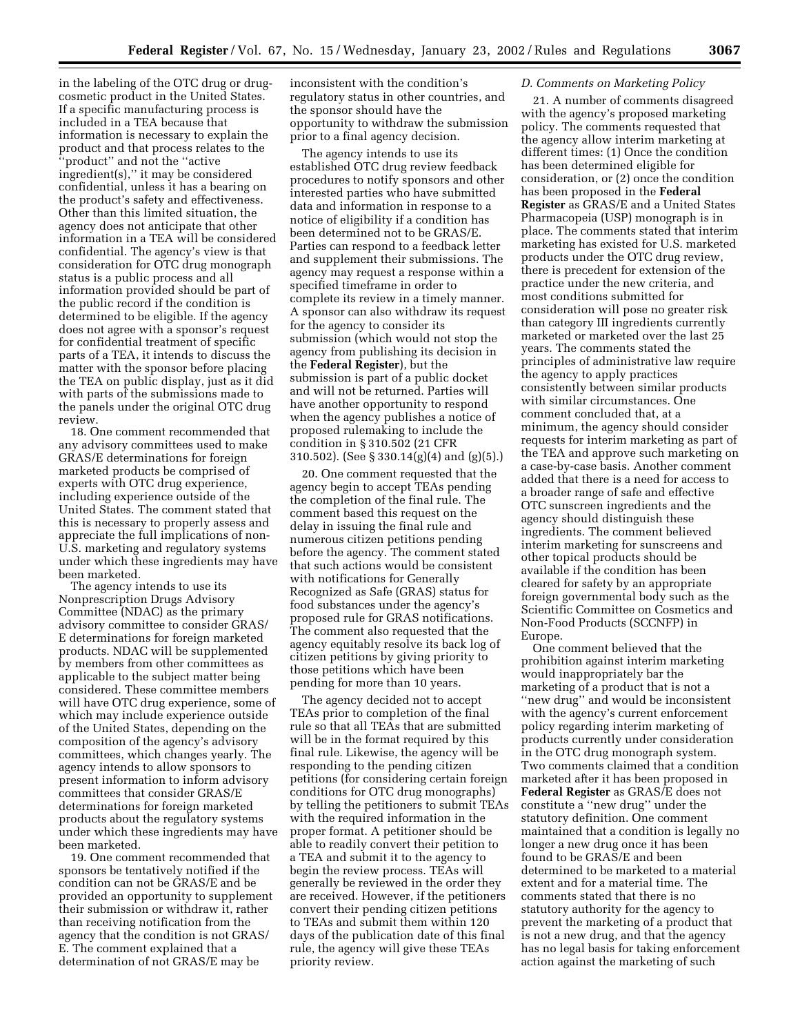in the labeling of the OTC drug or drugcosmetic product in the United States. If a specific manufacturing process is included in a TEA because that information is necessary to explain the product and that process relates to the ''product'' and not the ''active ingredient(s),'' it may be considered confidential, unless it has a bearing on the product's safety and effectiveness. Other than this limited situation, the agency does not anticipate that other information in a TEA will be considered confidential. The agency's view is that consideration for OTC drug monograph status is a public process and all information provided should be part of the public record if the condition is determined to be eligible. If the agency does not agree with a sponsor's request for confidential treatment of specific parts of a TEA, it intends to discuss the matter with the sponsor before placing the TEA on public display, just as it did with parts of the submissions made to the panels under the original OTC drug review.

18. One comment recommended that any advisory committees used to make GRAS/E determinations for foreign marketed products be comprised of experts with OTC drug experience, including experience outside of the United States. The comment stated that this is necessary to properly assess and appreciate the full implications of non-U.S. marketing and regulatory systems under which these ingredients may have been marketed.

The agency intends to use its Nonprescription Drugs Advisory Committee (NDAC) as the primary advisory committee to consider GRAS/ E determinations for foreign marketed products. NDAC will be supplemented by members from other committees as applicable to the subject matter being considered. These committee members will have OTC drug experience, some of which may include experience outside of the United States, depending on the composition of the agency's advisory committees, which changes yearly. The agency intends to allow sponsors to present information to inform advisory committees that consider GRAS/E determinations for foreign marketed products about the regulatory systems under which these ingredients may have been marketed.

19. One comment recommended that sponsors be tentatively notified if the condition can not be GRAS/E and be provided an opportunity to supplement their submission or withdraw it, rather than receiving notification from the agency that the condition is not GRAS/ E. The comment explained that a determination of not GRAS/E may be

inconsistent with the condition's regulatory status in other countries, and the sponsor should have the opportunity to withdraw the submission prior to a final agency decision.

The agency intends to use its established OTC drug review feedback procedures to notify sponsors and other interested parties who have submitted data and information in response to a notice of eligibility if a condition has been determined not to be GRAS/E. Parties can respond to a feedback letter and supplement their submissions. The agency may request a response within a specified timeframe in order to complete its review in a timely manner. A sponsor can also withdraw its request for the agency to consider its submission (which would not stop the agency from publishing its decision in the **Federal Register**), but the submission is part of a public docket and will not be returned. Parties will have another opportunity to respond when the agency publishes a notice of proposed rulemaking to include the condition in § 310.502 (21 CFR 310.502). (See § 330.14(g)(4) and (g)(5).)

20. One comment requested that the agency begin to accept TEAs pending the completion of the final rule. The comment based this request on the delay in issuing the final rule and numerous citizen petitions pending before the agency. The comment stated that such actions would be consistent with notifications for Generally Recognized as Safe (GRAS) status for food substances under the agency's proposed rule for GRAS notifications. The comment also requested that the agency equitably resolve its back log of citizen petitions by giving priority to those petitions which have been pending for more than 10 years.

The agency decided not to accept TEAs prior to completion of the final rule so that all TEAs that are submitted will be in the format required by this final rule. Likewise, the agency will be responding to the pending citizen petitions (for considering certain foreign conditions for OTC drug monographs) by telling the petitioners to submit TEAs with the required information in the proper format. A petitioner should be able to readily convert their petition to a TEA and submit it to the agency to begin the review process. TEAs will generally be reviewed in the order they are received. However, if the petitioners convert their pending citizen petitions to TEAs and submit them within 120 days of the publication date of this final rule, the agency will give these TEAs priority review.

#### *D. Comments on Marketing Policy*

21. A number of comments disagreed with the agency's proposed marketing policy. The comments requested that the agency allow interim marketing at different times: (1) Once the condition has been determined eligible for consideration, or (2) once the condition has been proposed in the **Federal Register** as GRAS/E and a United States Pharmacopeia (USP) monograph is in place. The comments stated that interim marketing has existed for U.S. marketed products under the OTC drug review, there is precedent for extension of the practice under the new criteria, and most conditions submitted for consideration will pose no greater risk than category III ingredients currently marketed or marketed over the last 25 years. The comments stated the principles of administrative law require the agency to apply practices consistently between similar products with similar circumstances. One comment concluded that, at a minimum, the agency should consider requests for interim marketing as part of the TEA and approve such marketing on a case-by-case basis. Another comment added that there is a need for access to a broader range of safe and effective OTC sunscreen ingredients and the agency should distinguish these ingredients. The comment believed interim marketing for sunscreens and other topical products should be available if the condition has been cleared for safety by an appropriate foreign governmental body such as the Scientific Committee on Cosmetics and Non-Food Products (SCCNFP) in Europe.

One comment believed that the prohibition against interim marketing would inappropriately bar the marketing of a product that is not a ''new drug'' and would be inconsistent with the agency's current enforcement policy regarding interim marketing of products currently under consideration in the OTC drug monograph system. Two comments claimed that a condition marketed after it has been proposed in **Federal Register** as GRAS/E does not constitute a ''new drug'' under the statutory definition. One comment maintained that a condition is legally no longer a new drug once it has been found to be GRAS/E and been determined to be marketed to a material extent and for a material time. The comments stated that there is no statutory authority for the agency to prevent the marketing of a product that is not a new drug, and that the agency has no legal basis for taking enforcement action against the marketing of such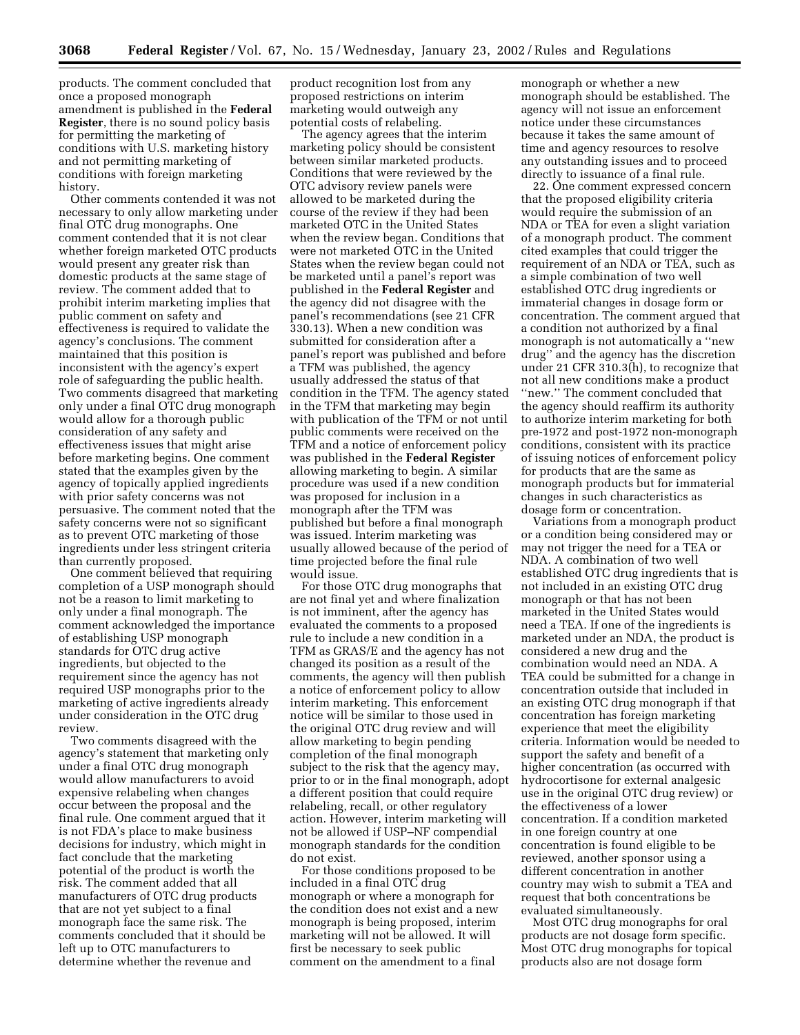products. The comment concluded that once a proposed monograph amendment is published in the **Federal Register**, there is no sound policy basis for permitting the marketing of conditions with U.S. marketing history and not permitting marketing of conditions with foreign marketing history.

Other comments contended it was not necessary to only allow marketing under final OTC drug monographs. One comment contended that it is not clear whether foreign marketed OTC products would present any greater risk than domestic products at the same stage of review. The comment added that to prohibit interim marketing implies that public comment on safety and effectiveness is required to validate the agency's conclusions. The comment maintained that this position is inconsistent with the agency's expert role of safeguarding the public health. Two comments disagreed that marketing only under a final OTC drug monograph would allow for a thorough public consideration of any safety and effectiveness issues that might arise before marketing begins. One comment stated that the examples given by the agency of topically applied ingredients with prior safety concerns was not persuasive. The comment noted that the safety concerns were not so significant as to prevent OTC marketing of those ingredients under less stringent criteria than currently proposed.

One comment believed that requiring completion of a USP monograph should not be a reason to limit marketing to only under a final monograph. The comment acknowledged the importance of establishing USP monograph standards for OTC drug active ingredients, but objected to the requirement since the agency has not required USP monographs prior to the marketing of active ingredients already under consideration in the OTC drug review.

Two comments disagreed with the agency's statement that marketing only under a final OTC drug monograph would allow manufacturers to avoid expensive relabeling when changes occur between the proposal and the final rule. One comment argued that it is not FDA's place to make business decisions for industry, which might in fact conclude that the marketing potential of the product is worth the risk. The comment added that all manufacturers of OTC drug products that are not yet subject to a final monograph face the same risk. The comments concluded that it should be left up to OTC manufacturers to determine whether the revenue and

product recognition lost from any proposed restrictions on interim marketing would outweigh any potential costs of relabeling.

The agency agrees that the interim marketing policy should be consistent between similar marketed products. Conditions that were reviewed by the OTC advisory review panels were allowed to be marketed during the course of the review if they had been marketed OTC in the United States when the review began. Conditions that were not marketed OTC in the United States when the review began could not be marketed until a panel's report was published in the **Federal Register** and the agency did not disagree with the panel's recommendations (see 21 CFR 330.13). When a new condition was submitted for consideration after a panel's report was published and before a TFM was published, the agency usually addressed the status of that condition in the TFM. The agency stated in the TFM that marketing may begin with publication of the TFM or not until public comments were received on the TFM and a notice of enforcement policy was published in the **Federal Register** allowing marketing to begin. A similar procedure was used if a new condition was proposed for inclusion in a monograph after the TFM was published but before a final monograph was issued. Interim marketing was usually allowed because of the period of time projected before the final rule would issue.

For those OTC drug monographs that are not final yet and where finalization is not imminent, after the agency has evaluated the comments to a proposed rule to include a new condition in a TFM as GRAS/E and the agency has not changed its position as a result of the comments, the agency will then publish a notice of enforcement policy to allow interim marketing. This enforcement notice will be similar to those used in the original OTC drug review and will allow marketing to begin pending completion of the final monograph subject to the risk that the agency may, prior to or in the final monograph, adopt a different position that could require relabeling, recall, or other regulatory action. However, interim marketing will not be allowed if USP–NF compendial monograph standards for the condition do not exist.

For those conditions proposed to be included in a final OTC drug monograph or where a monograph for the condition does not exist and a new monograph is being proposed, interim marketing will not be allowed. It will first be necessary to seek public comment on the amendment to a final

monograph or whether a new monograph should be established. The agency will not issue an enforcement notice under these circumstances because it takes the same amount of time and agency resources to resolve any outstanding issues and to proceed directly to issuance of a final rule.

22. One comment expressed concern that the proposed eligibility criteria would require the submission of an NDA or TEA for even a slight variation of a monograph product. The comment cited examples that could trigger the requirement of an NDA or TEA, such as a simple combination of two well established OTC drug ingredients or immaterial changes in dosage form or concentration. The comment argued that a condition not authorized by a final monograph is not automatically a ''new drug'' and the agency has the discretion under 21 CFR 310.3(h), to recognize that not all new conditions make a product ''new.'' The comment concluded that the agency should reaffirm its authority to authorize interim marketing for both pre-1972 and post-1972 non-monograph conditions, consistent with its practice of issuing notices of enforcement policy for products that are the same as monograph products but for immaterial changes in such characteristics as dosage form or concentration.

Variations from a monograph product or a condition being considered may or may not trigger the need for a TEA or NDA. A combination of two well established OTC drug ingredients that is not included in an existing OTC drug monograph or that has not been marketed in the United States would need a TEA. If one of the ingredients is marketed under an NDA, the product is considered a new drug and the combination would need an NDA. A TEA could be submitted for a change in concentration outside that included in an existing OTC drug monograph if that concentration has foreign marketing experience that meet the eligibility criteria. Information would be needed to support the safety and benefit of a higher concentration (as occurred with hydrocortisone for external analgesic use in the original OTC drug review) or the effectiveness of a lower concentration. If a condition marketed in one foreign country at one concentration is found eligible to be reviewed, another sponsor using a different concentration in another country may wish to submit a TEA and request that both concentrations be evaluated simultaneously.

Most OTC drug monographs for oral products are not dosage form specific. Most OTC drug monographs for topical products also are not dosage form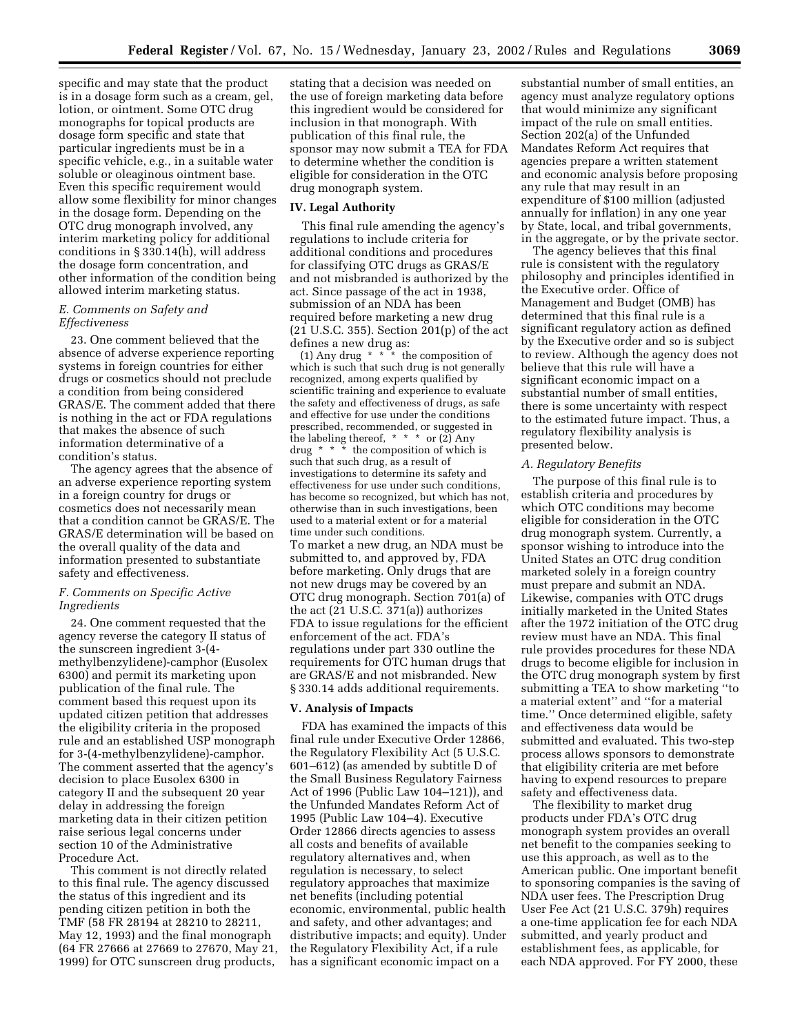specific and may state that the product is in a dosage form such as a cream, gel, lotion, or ointment. Some OTC drug monographs for topical products are dosage form specific and state that particular ingredients must be in a specific vehicle, e.g., in a suitable water soluble or oleaginous ointment base. Even this specific requirement would allow some flexibility for minor changes in the dosage form. Depending on the OTC drug monograph involved, any interim marketing policy for additional conditions in § 330.14(h), will address the dosage form concentration, and other information of the condition being allowed interim marketing status.

### *E. Comments on Safety and Effectiveness*

23. One comment believed that the absence of adverse experience reporting systems in foreign countries for either drugs or cosmetics should not preclude a condition from being considered GRAS/E. The comment added that there is nothing in the act or FDA regulations that makes the absence of such information determinative of a condition's status.

The agency agrees that the absence of an adverse experience reporting system in a foreign country for drugs or cosmetics does not necessarily mean that a condition cannot be GRAS/E. The GRAS/E determination will be based on the overall quality of the data and information presented to substantiate safety and effectiveness.

### *F. Comments on Specific Active Ingredients*

24. One comment requested that the agency reverse the category II status of the sunscreen ingredient 3-(4 methylbenzylidene)-camphor (Eusolex 6300) and permit its marketing upon publication of the final rule. The comment based this request upon its updated citizen petition that addresses the eligibility criteria in the proposed rule and an established USP monograph for 3-(4-methylbenzylidene)-camphor. The comment asserted that the agency's decision to place Eusolex 6300 in category II and the subsequent 20 year delay in addressing the foreign marketing data in their citizen petition raise serious legal concerns under section 10 of the Administrative Procedure Act.

This comment is not directly related to this final rule. The agency discussed the status of this ingredient and its pending citizen petition in both the TMF (58 FR 28194 at 28210 to 28211, May 12, 1993) and the final monograph (64 FR 27666 at 27669 to 27670, May 21, 1999) for OTC sunscreen drug products,

stating that a decision was needed on the use of foreign marketing data before this ingredient would be considered for inclusion in that monograph. With publication of this final rule, the sponsor may now submit a TEA for FDA to determine whether the condition is eligible for consideration in the OTC drug monograph system.

### **IV. Legal Authority**

This final rule amending the agency's regulations to include criteria for additional conditions and procedures for classifying OTC drugs as GRAS/E and not misbranded is authorized by the act. Since passage of the act in 1938, submission of an NDA has been required before marketing a new drug (21 U.S.C. 355). Section 201(p) of the act defines a new drug as:

(1) Any drug  $*$   $*$  is the composition of which is such that such drug is not generally recognized, among experts qualified by scientific training and experience to evaluate the safety and effectiveness of drugs, as safe and effective for use under the conditions prescribed, recommended, or suggested in the labeling thereof, \* \* \* or (2) Any drug \* \* \* the composition of which is such that such drug, as a result of investigations to determine its safety and effectiveness for use under such conditions, has become so recognized, but which has not, otherwise than in such investigations, been used to a material extent or for a material time under such conditions. To market a new drug, an NDA must be submitted to, and approved by, FDA before marketing. Only drugs that are not new drugs may be covered by an OTC drug monograph. Section 701(a) of the act (21 U.S.C. 371(a)) authorizes FDA to issue regulations for the efficient enforcement of the act. FDA's regulations under part 330 outline the requirements for OTC human drugs that are GRAS/E and not misbranded. New § 330.14 adds additional requirements.

# **V. Analysis of Impacts**

FDA has examined the impacts of this final rule under Executive Order 12866, the Regulatory Flexibility Act (5 U.S.C. 601–612) (as amended by subtitle D of the Small Business Regulatory Fairness Act of 1996 (Public Law 104–121)), and the Unfunded Mandates Reform Act of 1995 (Public Law 104–4). Executive Order 12866 directs agencies to assess all costs and benefits of available regulatory alternatives and, when regulation is necessary, to select regulatory approaches that maximize net benefits (including potential economic, environmental, public health and safety, and other advantages; and distributive impacts; and equity). Under the Regulatory Flexibility Act, if a rule has a significant economic impact on a

substantial number of small entities, an agency must analyze regulatory options that would minimize any significant impact of the rule on small entities. Section 202(a) of the Unfunded Mandates Reform Act requires that agencies prepare a written statement and economic analysis before proposing any rule that may result in an expenditure of \$100 million (adjusted annually for inflation) in any one year by State, local, and tribal governments, in the aggregate, or by the private sector.

The agency believes that this final rule is consistent with the regulatory philosophy and principles identified in the Executive order. Office of Management and Budget (OMB) has determined that this final rule is a significant regulatory action as defined by the Executive order and so is subject to review. Although the agency does not believe that this rule will have a significant economic impact on a substantial number of small entities, there is some uncertainty with respect to the estimated future impact. Thus, a regulatory flexibility analysis is presented below.

### *A. Regulatory Benefits*

The purpose of this final rule is to establish criteria and procedures by which OTC conditions may become eligible for consideration in the OTC drug monograph system. Currently, a sponsor wishing to introduce into the United States an OTC drug condition marketed solely in a foreign country must prepare and submit an NDA. Likewise, companies with OTC drugs initially marketed in the United States after the 1972 initiation of the OTC drug review must have an NDA. This final rule provides procedures for these NDA drugs to become eligible for inclusion in the OTC drug monograph system by first submitting a TEA to show marketing ''to a material extent'' and ''for a material time.'' Once determined eligible, safety and effectiveness data would be submitted and evaluated. This two-step process allows sponsors to demonstrate that eligibility criteria are met before having to expend resources to prepare safety and effectiveness data.

The flexibility to market drug products under FDA's OTC drug monograph system provides an overall net benefit to the companies seeking to use this approach, as well as to the American public. One important benefit to sponsoring companies is the saving of NDA user fees. The Prescription Drug User Fee Act (21 U.S.C. 379h) requires a one-time application fee for each NDA submitted, and yearly product and establishment fees, as applicable, for each NDA approved. For FY 2000, these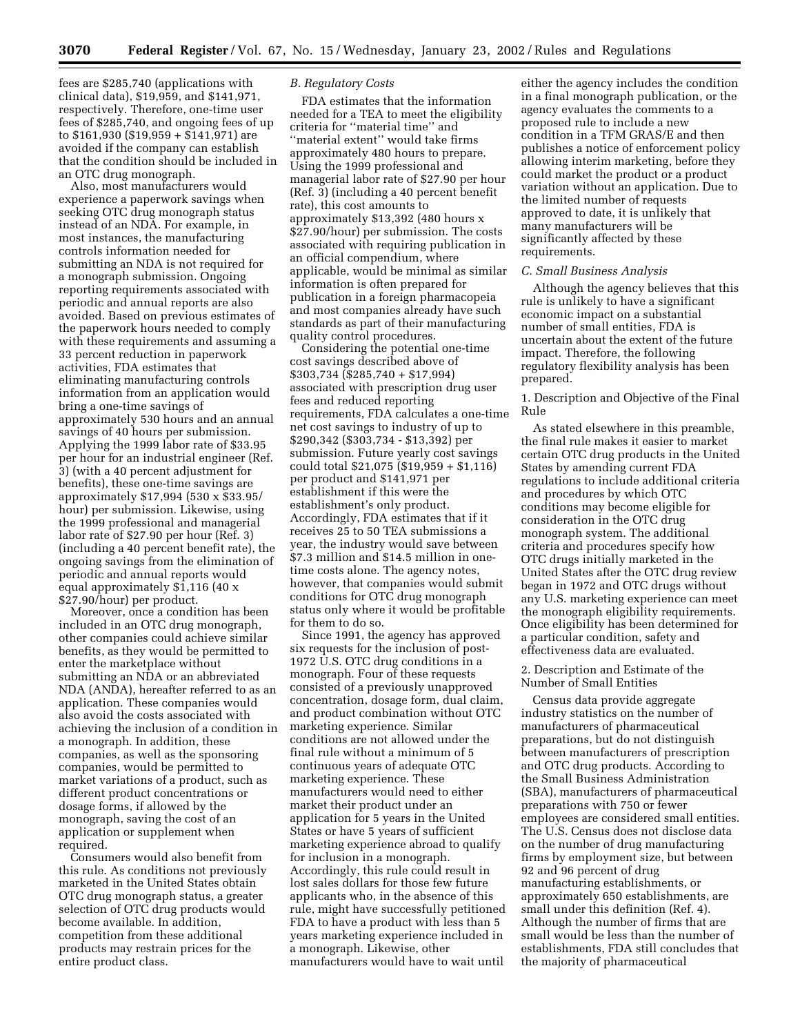fees are \$285,740 (applications with clinical data), \$19,959, and \$141,971, respectively. Therefore, one-time user fees of \$285,740, and ongoing fees of up to \$161,930 (\$19,959 + \$141,971) are avoided if the company can establish that the condition should be included in an OTC drug monograph.

Also, most manufacturers would experience a paperwork savings when seeking OTC drug monograph status instead of an NDA. For example, in most instances, the manufacturing controls information needed for submitting an NDA is not required for a monograph submission. Ongoing reporting requirements associated with periodic and annual reports are also avoided. Based on previous estimates of the paperwork hours needed to comply with these requirements and assuming a 33 percent reduction in paperwork activities, FDA estimates that eliminating manufacturing controls information from an application would bring a one-time savings of approximately 530 hours and an annual savings of 40 hours per submission. Applying the 1999 labor rate of \$33.95 per hour for an industrial engineer (Ref. 3) (with a 40 percent adjustment for benefits), these one-time savings are approximately \$17,994 (530 x \$33.95/ hour) per submission. Likewise, using the 1999 professional and managerial labor rate of \$27.90 per hour (Ref. 3) (including a 40 percent benefit rate), the ongoing savings from the elimination of periodic and annual reports would equal approximately \$1,116 (40 x \$27.90/hour) per product.

Moreover, once a condition has been included in an OTC drug monograph, other companies could achieve similar benefits, as they would be permitted to enter the marketplace without submitting an NDA or an abbreviated NDA (ANDA), hereafter referred to as an application. These companies would also avoid the costs associated with achieving the inclusion of a condition in a monograph. In addition, these companies, as well as the sponsoring companies, would be permitted to market variations of a product, such as different product concentrations or dosage forms, if allowed by the monograph, saving the cost of an application or supplement when required.

Consumers would also benefit from this rule. As conditions not previously marketed in the United States obtain OTC drug monograph status, a greater selection of OTC drug products would become available. In addition, competition from these additional products may restrain prices for the entire product class.

### *B. Regulatory Costs*

FDA estimates that the information needed for a TEA to meet the eligibility criteria for ''material time'' and ''material extent'' would take firms approximately 480 hours to prepare. Using the 1999 professional and managerial labor rate of \$27.90 per hour (Ref. 3) (including a 40 percent benefit rate), this cost amounts to approximately \$13,392 (480 hours x \$27.90/hour) per submission. The costs associated with requiring publication in an official compendium, where applicable, would be minimal as similar information is often prepared for publication in a foreign pharmacopeia and most companies already have such standards as part of their manufacturing quality control procedures.

Considering the potential one-time cost savings described above of \$303,734 (\$285,740 + \$17,994) associated with prescription drug user fees and reduced reporting requirements, FDA calculates a one-time net cost savings to industry of up to \$290,342 (\$303,734 - \$13,392) per submission. Future yearly cost savings could total \$21,075 (\$19,959 + \$1,116) per product and \$141,971 per establishment if this were the establishment's only product. Accordingly, FDA estimates that if it receives 25 to 50 TEA submissions a year, the industry would save between \$7.3 million and \$14.5 million in onetime costs alone. The agency notes, however, that companies would submit conditions for OTC drug monograph status only where it would be profitable for them to do so.

Since 1991, the agency has approved six requests for the inclusion of post-1972 U.S. OTC drug conditions in a monograph. Four of these requests consisted of a previously unapproved concentration, dosage form, dual claim, and product combination without OTC marketing experience. Similar conditions are not allowed under the final rule without a minimum of 5 continuous years of adequate OTC marketing experience. These manufacturers would need to either market their product under an application for 5 years in the United States or have 5 years of sufficient marketing experience abroad to qualify for inclusion in a monograph. Accordingly, this rule could result in lost sales dollars for those few future applicants who, in the absence of this rule, might have successfully petitioned FDA to have a product with less than 5 years marketing experience included in a monograph. Likewise, other manufacturers would have to wait until

either the agency includes the condition in a final monograph publication, or the agency evaluates the comments to a proposed rule to include a new condition in a TFM GRAS/E and then publishes a notice of enforcement policy allowing interim marketing, before they could market the product or a product variation without an application. Due to the limited number of requests approved to date, it is unlikely that many manufacturers will be significantly affected by these requirements.

### *C. Small Business Analysis*

Although the agency believes that this rule is unlikely to have a significant economic impact on a substantial number of small entities, FDA is uncertain about the extent of the future impact. Therefore, the following regulatory flexibility analysis has been prepared.

1. Description and Objective of the Final Rule

As stated elsewhere in this preamble, the final rule makes it easier to market certain OTC drug products in the United States by amending current FDA regulations to include additional criteria and procedures by which OTC conditions may become eligible for consideration in the OTC drug monograph system. The additional criteria and procedures specify how OTC drugs initially marketed in the United States after the OTC drug review began in 1972 and OTC drugs without any U.S. marketing experience can meet the monograph eligibility requirements. Once eligibility has been determined for a particular condition, safety and effectiveness data are evaluated.

2. Description and Estimate of the Number of Small Entities

Census data provide aggregate industry statistics on the number of manufacturers of pharmaceutical preparations, but do not distinguish between manufacturers of prescription and OTC drug products. According to the Small Business Administration (SBA), manufacturers of pharmaceutical preparations with 750 or fewer employees are considered small entities. The U.S. Census does not disclose data on the number of drug manufacturing firms by employment size, but between 92 and 96 percent of drug manufacturing establishments, or approximately 650 establishments, are small under this definition (Ref. 4). Although the number of firms that are small would be less than the number of establishments, FDA still concludes that the majority of pharmaceutical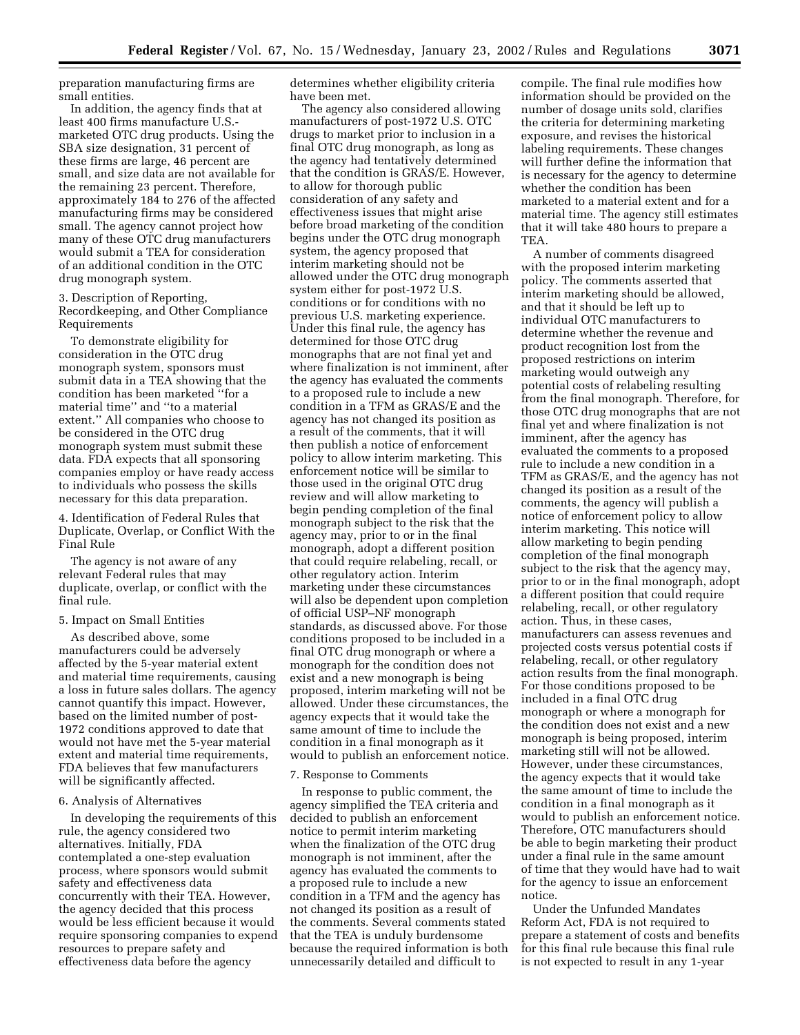preparation manufacturing firms are small entities.

In addition, the agency finds that at least 400 firms manufacture U.S. marketed OTC drug products. Using the SBA size designation, 31 percent of these firms are large, 46 percent are small, and size data are not available for the remaining 23 percent. Therefore, approximately 184 to 276 of the affected manufacturing firms may be considered small. The agency cannot project how many of these OTC drug manufacturers would submit a TEA for consideration of an additional condition in the OTC drug monograph system.

3. Description of Reporting, Recordkeeping, and Other Compliance Requirements

To demonstrate eligibility for consideration in the OTC drug monograph system, sponsors must submit data in a TEA showing that the condition has been marketed ''for a material time'' and ''to a material extent.'' All companies who choose to be considered in the OTC drug monograph system must submit these data. FDA expects that all sponsoring companies employ or have ready access to individuals who possess the skills necessary for this data preparation.

4. Identification of Federal Rules that Duplicate, Overlap, or Conflict With the Final Rule

The agency is not aware of any relevant Federal rules that may duplicate, overlap, or conflict with the final rule.

### 5. Impact on Small Entities

As described above, some manufacturers could be adversely affected by the 5-year material extent and material time requirements, causing a loss in future sales dollars. The agency cannot quantify this impact. However, based on the limited number of post-1972 conditions approved to date that would not have met the 5-year material extent and material time requirements, FDA believes that few manufacturers will be significantly affected.

#### 6. Analysis of Alternatives

In developing the requirements of this rule, the agency considered two alternatives. Initially, FDA contemplated a one-step evaluation process, where sponsors would submit safety and effectiveness data concurrently with their TEA. However, the agency decided that this process would be less efficient because it would require sponsoring companies to expend resources to prepare safety and effectiveness data before the agency

determines whether eligibility criteria have been met.

The agency also considered allowing manufacturers of post-1972 U.S. OTC drugs to market prior to inclusion in a final OTC drug monograph, as long as the agency had tentatively determined that the condition is GRAS/E. However, to allow for thorough public consideration of any safety and effectiveness issues that might arise before broad marketing of the condition begins under the OTC drug monograph system, the agency proposed that interim marketing should not be allowed under the OTC drug monograph system either for post-1972 U.S. conditions or for conditions with no previous U.S. marketing experience. Under this final rule, the agency has determined for those OTC drug monographs that are not final yet and where finalization is not imminent, after the agency has evaluated the comments to a proposed rule to include a new condition in a TFM as GRAS/E and the agency has not changed its position as a result of the comments, that it will then publish a notice of enforcement policy to allow interim marketing. This enforcement notice will be similar to those used in the original OTC drug review and will allow marketing to begin pending completion of the final monograph subject to the risk that the agency may, prior to or in the final monograph, adopt a different position that could require relabeling, recall, or other regulatory action. Interim marketing under these circumstances will also be dependent upon completion of official USP–NF monograph standards, as discussed above. For those conditions proposed to be included in a final OTC drug monograph or where a monograph for the condition does not exist and a new monograph is being proposed, interim marketing will not be allowed. Under these circumstances, the agency expects that it would take the same amount of time to include the condition in a final monograph as it would to publish an enforcement notice.

#### 7. Response to Comments

In response to public comment, the agency simplified the TEA criteria and decided to publish an enforcement notice to permit interim marketing when the finalization of the OTC drug monograph is not imminent, after the agency has evaluated the comments to a proposed rule to include a new condition in a TFM and the agency has not changed its position as a result of the comments. Several comments stated that the TEA is unduly burdensome because the required information is both unnecessarily detailed and difficult to

compile. The final rule modifies how information should be provided on the number of dosage units sold, clarifies the criteria for determining marketing exposure, and revises the historical labeling requirements. These changes will further define the information that is necessary for the agency to determine whether the condition has been marketed to a material extent and for a material time. The agency still estimates that it will take 480 hours to prepare a TEA.

A number of comments disagreed with the proposed interim marketing policy. The comments asserted that interim marketing should be allowed, and that it should be left up to individual OTC manufacturers to determine whether the revenue and product recognition lost from the proposed restrictions on interim marketing would outweigh any potential costs of relabeling resulting from the final monograph. Therefore, for those OTC drug monographs that are not final yet and where finalization is not imminent, after the agency has evaluated the comments to a proposed rule to include a new condition in a TFM as GRAS/E, and the agency has not changed its position as a result of the comments, the agency will publish a notice of enforcement policy to allow interim marketing. This notice will allow marketing to begin pending completion of the final monograph subject to the risk that the agency may, prior to or in the final monograph, adopt a different position that could require relabeling, recall, or other regulatory action. Thus, in these cases, manufacturers can assess revenues and projected costs versus potential costs if relabeling, recall, or other regulatory action results from the final monograph. For those conditions proposed to be included in a final OTC drug monograph or where a monograph for the condition does not exist and a new monograph is being proposed, interim marketing still will not be allowed. However, under these circumstances, the agency expects that it would take the same amount of time to include the condition in a final monograph as it would to publish an enforcement notice. Therefore, OTC manufacturers should be able to begin marketing their product under a final rule in the same amount of time that they would have had to wait for the agency to issue an enforcement notice.

Under the Unfunded Mandates Reform Act, FDA is not required to prepare a statement of costs and benefits for this final rule because this final rule is not expected to result in any 1-year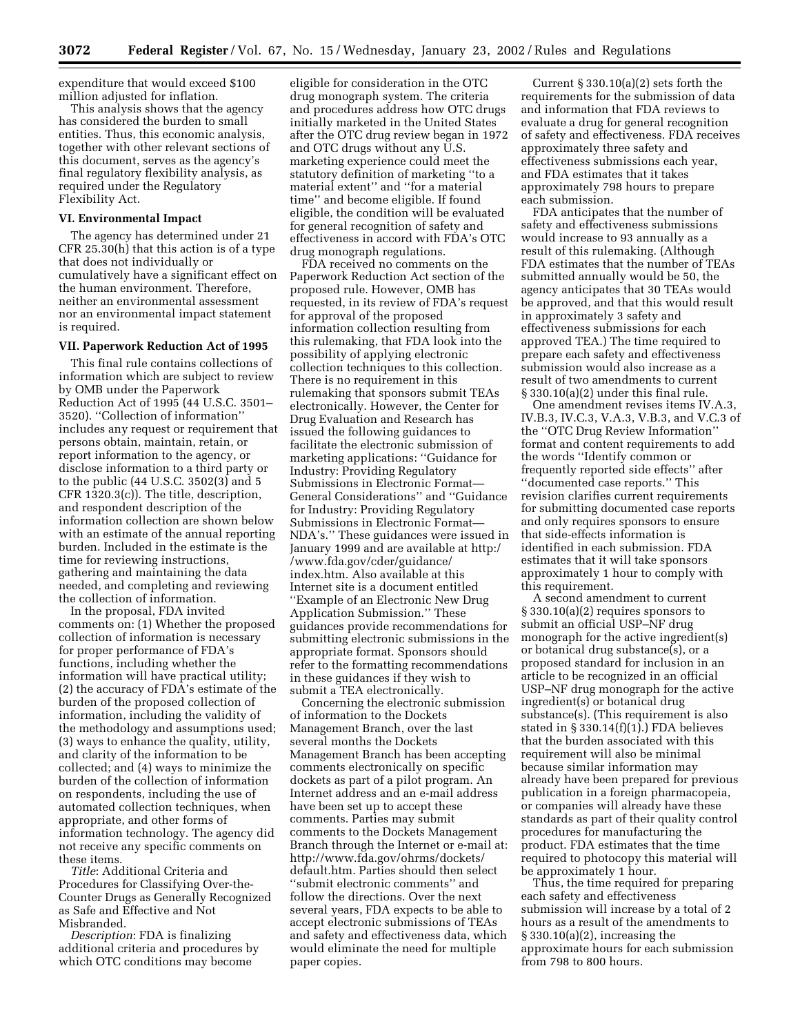expenditure that would exceed \$100 million adjusted for inflation.

This analysis shows that the agency has considered the burden to small entities. Thus, this economic analysis, together with other relevant sections of this document, serves as the agency's final regulatory flexibility analysis, as required under the Regulatory Flexibility Act.

#### **VI. Environmental Impact**

The agency has determined under 21 CFR 25.30(h) that this action is of a type that does not individually or cumulatively have a significant effect on the human environment. Therefore, neither an environmental assessment nor an environmental impact statement is required.

#### **VII. Paperwork Reduction Act of 1995**

This final rule contains collections of information which are subject to review by OMB under the Paperwork Reduction Act of 1995 (44 U.S.C. 3501– 3520). ''Collection of information'' includes any request or requirement that persons obtain, maintain, retain, or report information to the agency, or disclose information to a third party or to the public (44 U.S.C. 3502(3) and 5 CFR 1320.3(c)). The title, description, and respondent description of the information collection are shown below with an estimate of the annual reporting burden. Included in the estimate is the time for reviewing instructions, gathering and maintaining the data needed, and completing and reviewing the collection of information.

In the proposal, FDA invited comments on: (1) Whether the proposed collection of information is necessary for proper performance of FDA's functions, including whether the information will have practical utility; (2) the accuracy of FDA's estimate of the burden of the proposed collection of information, including the validity of the methodology and assumptions used; (3) ways to enhance the quality, utility, and clarity of the information to be collected; and (4) ways to minimize the burden of the collection of information on respondents, including the use of automated collection techniques, when appropriate, and other forms of information technology. The agency did not receive any specific comments on these items.

*Title*: Additional Criteria and Procedures for Classifying Over-the-Counter Drugs as Generally Recognized as Safe and Effective and Not Misbranded.

*Description*: FDA is finalizing additional criteria and procedures by which OTC conditions may become

eligible for consideration in the OTC drug monograph system. The criteria and procedures address how OTC drugs initially marketed in the United States after the OTC drug review began in 1972 and OTC drugs without any U.S. marketing experience could meet the statutory definition of marketing ''to a material extent'' and ''for a material time'' and become eligible. If found eligible, the condition will be evaluated for general recognition of safety and effectiveness in accord with FDA's OTC drug monograph regulations.

FDA received no comments on the Paperwork Reduction Act section of the proposed rule. However, OMB has requested, in its review of FDA's request for approval of the proposed information collection resulting from this rulemaking, that FDA look into the possibility of applying electronic collection techniques to this collection. There is no requirement in this rulemaking that sponsors submit TEAs electronically. However, the Center for Drug Evaluation and Research has issued the following guidances to facilitate the electronic submission of marketing applications: ''Guidance for Industry: Providing Regulatory Submissions in Electronic Format— General Considerations'' and ''Guidance for Industry: Providing Regulatory Submissions in Electronic Format— NDA's.'' These guidances were issued in January 1999 and are available at http:/ /www.fda.gov/cder/guidance/ index.htm. Also available at this Internet site is a document entitled ''Example of an Electronic New Drug Application Submission.'' These guidances provide recommendations for submitting electronic submissions in the appropriate format. Sponsors should refer to the formatting recommendations in these guidances if they wish to submit a TEA electronically.

Concerning the electronic submission of information to the Dockets Management Branch, over the last several months the Dockets Management Branch has been accepting comments electronically on specific dockets as part of a pilot program. An Internet address and an e-mail address have been set up to accept these comments. Parties may submit comments to the Dockets Management Branch through the Internet or e-mail at: http://www.fda.gov/ohrms/dockets/ default.htm. Parties should then select ''submit electronic comments'' and follow the directions. Over the next several years, FDA expects to be able to accept electronic submissions of TEAs and safety and effectiveness data, which would eliminate the need for multiple paper copies.

Current § 330.10(a)(2) sets forth the requirements for the submission of data and information that FDA reviews to evaluate a drug for general recognition of safety and effectiveness. FDA receives approximately three safety and effectiveness submissions each year, and FDA estimates that it takes approximately 798 hours to prepare each submission.

FDA anticipates that the number of safety and effectiveness submissions would increase to 93 annually as a result of this rulemaking. (Although FDA estimates that the number of TEAs submitted annually would be 50, the agency anticipates that 30 TEAs would be approved, and that this would result in approximately 3 safety and effectiveness submissions for each approved TEA.) The time required to prepare each safety and effectiveness submission would also increase as a result of two amendments to current § 330.10(a)(2) under this final rule.

One amendment revises items IV.A.3, IV.B.3, IV.C.3, V.A.3, V.B.3, and V.C.3 of the ''OTC Drug Review Information'' format and content requirements to add the words ''Identify common or frequently reported side effects'' after ''documented case reports.'' This revision clarifies current requirements for submitting documented case reports and only requires sponsors to ensure that side-effects information is identified in each submission. FDA estimates that it will take sponsors approximately 1 hour to comply with this requirement.

A second amendment to current § 330.10(a)(2) requires sponsors to submit an official USP–NF drug monograph for the active ingredient(s) or botanical drug substance(s), or a proposed standard for inclusion in an article to be recognized in an official USP–NF drug monograph for the active ingredient(s) or botanical drug substance(s). (This requirement is also stated in § 330.14(f)(1).) FDA believes that the burden associated with this requirement will also be minimal because similar information may already have been prepared for previous publication in a foreign pharmacopeia, or companies will already have these standards as part of their quality control procedures for manufacturing the product. FDA estimates that the time required to photocopy this material will be approximately 1 hour.

Thus, the time required for preparing each safety and effectiveness submission will increase by a total of 2 hours as a result of the amendments to § 330.10(a)(2), increasing the approximate hours for each submission from 798 to 800 hours.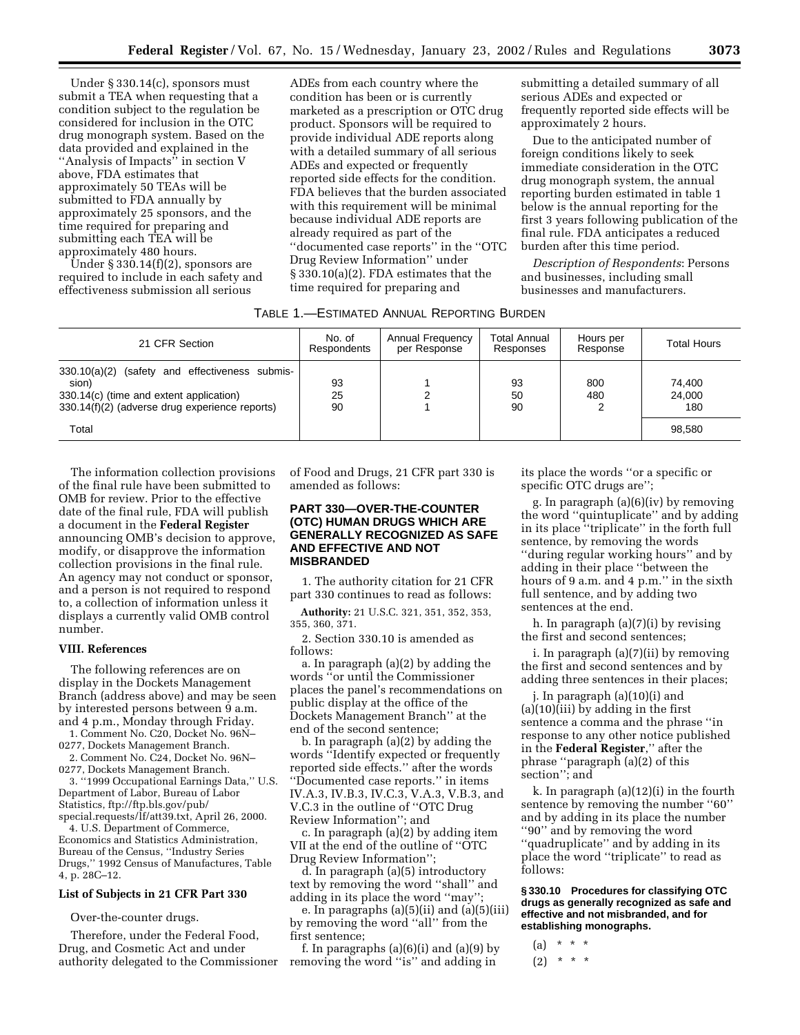Under § 330.14(c), sponsors must submit a TEA when requesting that a condition subject to the regulation be considered for inclusion in the OTC drug monograph system. Based on the data provided and explained in the ''Analysis of Impacts'' in section V above, FDA estimates that approximately 50 TEAs will be submitted to FDA annually by approximately 25 sponsors, and the time required for preparing and submitting each TEA will be approximately 480 hours.

Under § 330.14(f)(2), sponsors are required to include in each safety and effectiveness submission all serious

ADEs from each country where the condition has been or is currently marketed as a prescription or OTC drug product. Sponsors will be required to provide individual ADE reports along with a detailed summary of all serious ADEs and expected or frequently reported side effects for the condition. FDA believes that the burden associated with this requirement will be minimal because individual ADE reports are already required as part of the ''documented case reports'' in the ''OTC Drug Review Information'' under § 330.10(a)(2). FDA estimates that the time required for preparing and

submitting a detailed summary of all serious ADEs and expected or frequently reported side effects will be approximately 2 hours.

Due to the anticipated number of foreign conditions likely to seek immediate consideration in the OTC drug monograph system, the annual reporting burden estimated in table 1 below is the annual reporting for the first 3 years following publication of the final rule. FDA anticipates a reduced burden after this time period.

*Description of Respondents*: Persons and businesses, including small businesses and manufacturers.

| 21 CFR Section                                                                                                                                       | No. of<br>Respondents | Annual Frequency<br>per Response | <b>Total Annual</b><br>Responses | Hours per<br>Response | <b>Total Hours</b>      |
|------------------------------------------------------------------------------------------------------------------------------------------------------|-----------------------|----------------------------------|----------------------------------|-----------------------|-------------------------|
| 330.10(a)(2) (safety and effectiveness submis-<br>sion)<br>330.14(c) (time and extent application)<br>330.14(f)(2) (adverse drug experience reports) | 93<br>25<br>90        | າ                                | 93<br>50<br>90                   | 800<br>480            | 74,400<br>24,000<br>180 |
| Total                                                                                                                                                |                       |                                  |                                  |                       | 98.580                  |

The information collection provisions of the final rule have been submitted to OMB for review. Prior to the effective date of the final rule, FDA will publish a document in the **Federal Register** announcing OMB's decision to approve, modify, or disapprove the information collection provisions in the final rule. An agency may not conduct or sponsor, and a person is not required to respond to, a collection of information unless it displays a currently valid OMB control number.

### **VIII. References**

The following references are on display in the Dockets Management Branch (address above) and may be seen by interested persons between 9 a.m. and 4 p.m., Monday through Friday.

1. Comment No. C20, Docket No. 96N– 0277, Dockets Management Branch.

2. Comment No. C24, Docket No. 96N– 0277, Dockets Management Branch.

3. ''1999 Occupational Earnings Data,'' U.S. Department of Labor, Bureau of Labor Statistics, ftp://ftp.bls.gov/pub/ special.requests/lf/att39.txt, April 26, 2000.

4. U.S. Department of Commerce, Economics and Statistics Administration, Bureau of the Census, ''Industry Series Drugs,'' 1992 Census of Manufactures, Table 4, p. 28C–12.

### **List of Subjects in 21 CFR Part 330**

Over-the-counter drugs.

Therefore, under the Federal Food, Drug, and Cosmetic Act and under authority delegated to the Commissioner of Food and Drugs, 21 CFR part 330 is amended as follows:

# **PART 330—OVER-THE-COUNTER (OTC) HUMAN DRUGS WHICH ARE GENERALLY RECOGNIZED AS SAFE AND EFFECTIVE AND NOT MISBRANDED**

1. The authority citation for 21 CFR part 330 continues to read as follows:

**Authority:** 21 U.S.C. 321, 351, 352, 353, 355, 360, 371.

2. Section 330.10 is amended as follows:

a. In paragraph (a)(2) by adding the words ''or until the Commissioner places the panel's recommendations on public display at the office of the Dockets Management Branch'' at the end of the second sentence;

b. In paragraph (a)(2) by adding the words ''Identify expected or frequently reported side effects.'' after the words ''Documented case reports.'' in items IV.A.3, IV.B.3, IV.C.3, V.A.3, V.B.3, and V.C.3 in the outline of ''OTC Drug Review Information''; and

c. In paragraph (a)(2) by adding item VII at the end of the outline of ''OTC Drug Review Information'';

d. In paragraph (a)(5) introductory text by removing the word ''shall'' and adding in its place the word ''may'';

e. In paragraphs (a)(5)(ii) and (a)(5)(iii) by removing the word ''all'' from the first sentence;

f. In paragraphs  $(a)(6)(i)$  and  $(a)(9)$  by removing the word ''is'' and adding in

its place the words ''or a specific or specific OTC drugs are'';

g. In paragraph (a)(6)(iv) by removing the word ''quintuplicate'' and by adding in its place "triplicate" in the forth full sentence, by removing the words ''during regular working hours'' and by adding in their place ''between the hours of 9 a.m. and 4 p.m.'' in the sixth full sentence, and by adding two sentences at the end.

h. In paragraph (a)(7)(i) by revising the first and second sentences;

i. In paragraph (a)(7)(ii) by removing the first and second sentences and by adding three sentences in their places;

j. In paragraph (a)(10)(i) and (a)(10)(iii) by adding in the first sentence a comma and the phrase ''in response to any other notice published in the **Federal Register**,'' after the phrase ''paragraph (a)(2) of this section''; and

k. In paragraph (a)(12)(i) in the fourth sentence by removing the number "60" and by adding in its place the number ''90'' and by removing the word ''quadruplicate'' and by adding in its place the word ''triplicate'' to read as follows:

**§ 330.10 Procedures for classifying OTC drugs as generally recognized as safe and effective and not misbranded, and for establishing monographs.**

(a) \* \* \*  $(2)$  \* \* \*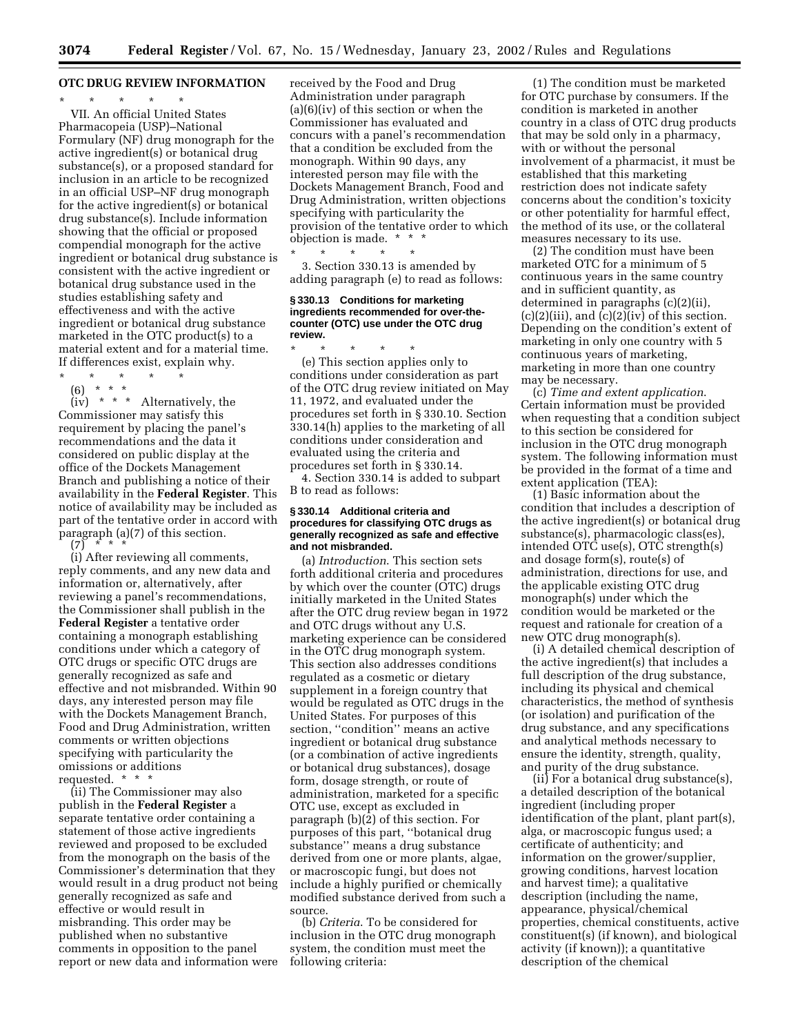# **OTC DRUG REVIEW INFORMATION**

\* \* \* \* \* VII. An official United States Pharmacopeia (USP)–National Formulary (NF) drug monograph for the active ingredient(s) or botanical drug substance(s), or a proposed standard for inclusion in an article to be recognized in an official USP–NF drug monograph for the active ingredient(s) or botanical drug substance(s). Include information showing that the official or proposed compendial monograph for the active ingredient or botanical drug substance is consistent with the active ingredient or botanical drug substance used in the studies establishing safety and effectiveness and with the active ingredient or botanical drug substance marketed in the OTC product(s) to a material extent and for a material time. If differences exist, explain why.

\* \* \* \* \*

(6) \* \* \*

(iv) \* \* \* Alternatively, the Commissioner may satisfy this requirement by placing the panel's recommendations and the data it considered on public display at the office of the Dockets Management Branch and publishing a notice of their availability in the **Federal Register**. This notice of availability may be included as part of the tentative order in accord with paragraph (a)(7) of this section.  $(7)$ 

(i) After reviewing all comments, reply comments, and any new data and information or, alternatively, after reviewing a panel's recommendations, the Commissioner shall publish in the **Federal Register** a tentative order containing a monograph establishing conditions under which a category of OTC drugs or specific OTC drugs are generally recognized as safe and effective and not misbranded. Within 90 days, any interested person may file with the Dockets Management Branch, Food and Drug Administration, written comments or written objections specifying with particularity the omissions or additions requested. \* \* \*

(ii) The Commissioner may also publish in the **Federal Register** a separate tentative order containing a statement of those active ingredients reviewed and proposed to be excluded from the monograph on the basis of the Commissioner's determination that they would result in a drug product not being generally recognized as safe and effective or would result in misbranding. This order may be published when no substantive comments in opposition to the panel report or new data and information were received by the Food and Drug Administration under paragraph (a)(6)(iv) of this section or when the Commissioner has evaluated and concurs with a panel's recommendation that a condition be excluded from the monograph. Within 90 days, any interested person may file with the Dockets Management Branch, Food and Drug Administration, written objections specifying with particularity the provision of the tentative order to which objection is made. \* \* \*

3. Section 330.13 is amended by adding paragraph (e) to read as follows:

\* \* \* \* \*

### **§ 330.13 Conditions for marketing ingredients recommended for over-thecounter (OTC) use under the OTC drug review.**

\* \* \* \* \* (e) This section applies only to conditions under consideration as part of the OTC drug review initiated on May 11, 1972, and evaluated under the procedures set forth in § 330.10. Section 330.14(h) applies to the marketing of all conditions under consideration and evaluated using the criteria and procedures set forth in § 330.14.

4. Section 330.14 is added to subpart B to read as follows:

#### **§ 330.14 Additional criteria and procedures for classifying OTC drugs as generally recognized as safe and effective and not misbranded.**

(a) *Introduction*. This section sets forth additional criteria and procedures by which over the counter (OTC) drugs initially marketed in the United States after the OTC drug review began in 1972 and OTC drugs without any U.S. marketing experience can be considered in the OTC drug monograph system. This section also addresses conditions regulated as a cosmetic or dietary supplement in a foreign country that would be regulated as OTC drugs in the United States. For purposes of this section, "condition" means an active ingredient or botanical drug substance (or a combination of active ingredients or botanical drug substances), dosage form, dosage strength, or route of administration, marketed for a specific OTC use, except as excluded in paragraph (b)(2) of this section. For purposes of this part, ''botanical drug substance'' means a drug substance derived from one or more plants, algae, or macroscopic fungi, but does not include a highly purified or chemically modified substance derived from such a source.

(b) *Criteria*. To be considered for inclusion in the OTC drug monograph system, the condition must meet the following criteria:

(1) The condition must be marketed for OTC purchase by consumers. If the condition is marketed in another country in a class of OTC drug products that may be sold only in a pharmacy, with or without the personal involvement of a pharmacist, it must be established that this marketing restriction does not indicate safety concerns about the condition's toxicity or other potentiality for harmful effect, the method of its use, or the collateral measures necessary to its use.

(2) The condition must have been marketed OTC for a minimum of 5 continuous years in the same country and in sufficient quantity, as determined in paragraphs (c)(2)(ii),  $(c)(2)(iii)$ , and  $(c)(2)(iv)$  of this section. Depending on the condition's extent of marketing in only one country with 5 continuous years of marketing, marketing in more than one country may be necessary.

(c) *Time and extent application*. Certain information must be provided when requesting that a condition subject to this section be considered for inclusion in the OTC drug monograph system. The following information must be provided in the format of a time and extent application (TEA):

(1) Basic information about the condition that includes a description of the active ingredient(s) or botanical drug substance(s), pharmacologic class(es), intended OTC use(s), OTC strength(s) and dosage form(s), route(s) of administration, directions for use, and the applicable existing OTC drug monograph(s) under which the condition would be marketed or the request and rationale for creation of a new OTC drug monograph(s).

(i) A detailed chemical description of the active ingredient(s) that includes a full description of the drug substance, including its physical and chemical characteristics, the method of synthesis (or isolation) and purification of the drug substance, and any specifications and analytical methods necessary to ensure the identity, strength, quality, and purity of the drug substance.

(ii) For a botanical drug substance(s), a detailed description of the botanical ingredient (including proper identification of the plant, plant part(s), alga, or macroscopic fungus used; a certificate of authenticity; and information on the grower/supplier, growing conditions, harvest location and harvest time); a qualitative description (including the name, appearance, physical/chemical properties, chemical constituents, active constituent(s) (if known), and biological activity (if known)); a quantitative description of the chemical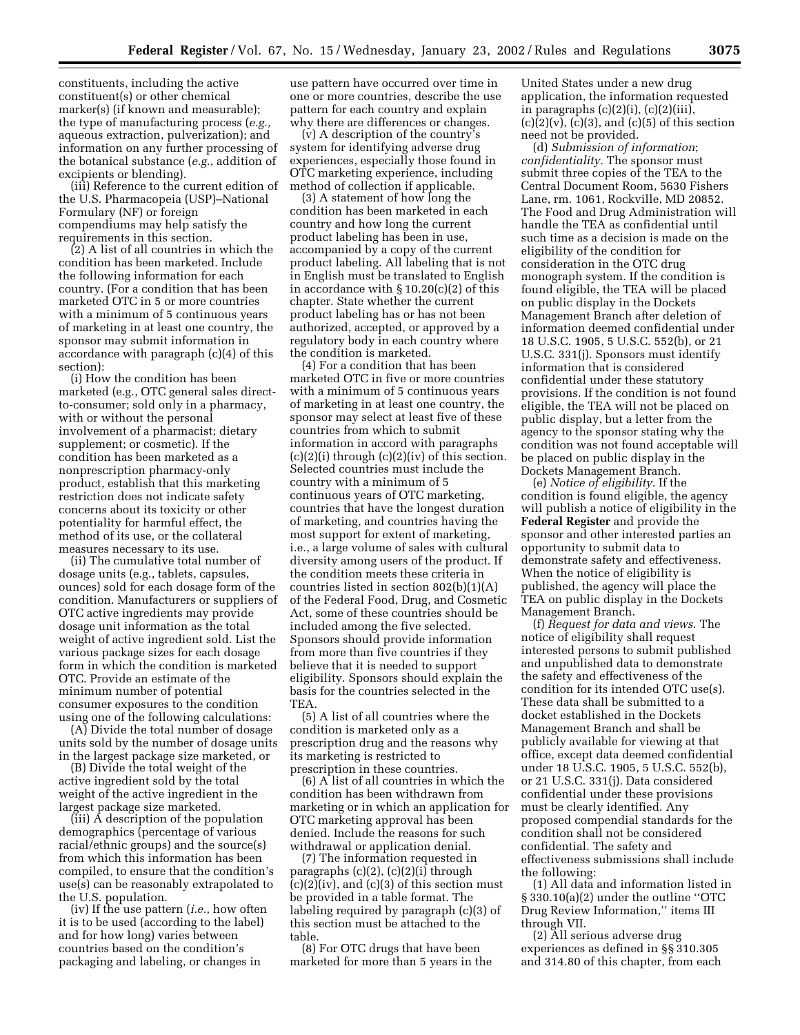constituents, including the active constituent(s) or other chemical marker(s) (if known and measurable); the type of manufacturing process (*e.g.,* aqueous extraction, pulverization); and information on any further processing of the botanical substance (*e.g.,* addition of excipients or blending).

(iii) Reference to the current edition of the U.S. Pharmacopeia (USP)–National Formulary (NF) or foreign compendiums may help satisfy the requirements in this section.

(2) A list of all countries in which the condition has been marketed. Include the following information for each country. (For a condition that has been marketed OTC in 5 or more countries with a minimum of 5 continuous years of marketing in at least one country, the sponsor may submit information in accordance with paragraph (c)(4) of this section):

(i) How the condition has been marketed (e.g., OTC general sales directto-consumer; sold only in a pharmacy, with or without the personal involvement of a pharmacist; dietary supplement; or cosmetic). If the condition has been marketed as a nonprescription pharmacy-only product, establish that this marketing restriction does not indicate safety concerns about its toxicity or other potentiality for harmful effect, the method of its use, or the collateral measures necessary to its use.

(ii) The cumulative total number of dosage units (e.g., tablets, capsules, ounces) sold for each dosage form of the condition. Manufacturers or suppliers of OTC active ingredients may provide dosage unit information as the total weight of active ingredient sold. List the various package sizes for each dosage form in which the condition is marketed OTC. Provide an estimate of the minimum number of potential consumer exposures to the condition using one of the following calculations:

(A) Divide the total number of dosage units sold by the number of dosage units in the largest package size marketed, or

(B) Divide the total weight of the active ingredient sold by the total weight of the active ingredient in the largest package size marketed.

(iii) A description of the population demographics (percentage of various racial/ethnic groups) and the source(s) from which this information has been compiled, to ensure that the condition's use(s) can be reasonably extrapolated to the U.S. population.

(iv) If the use pattern (*i.e.,* how often it is to be used (according to the label) and for how long) varies between countries based on the condition's packaging and labeling, or changes in

use pattern have occurred over time in one or more countries, describe the use pattern for each country and explain why there are differences or changes.

(v) A description of the country's system for identifying adverse drug experiences, especially those found in OTC marketing experience, including method of collection if applicable.

(3) A statement of how long the condition has been marketed in each country and how long the current product labeling has been in use, accompanied by a copy of the current product labeling. All labeling that is not in English must be translated to English in accordance with § 10.20(c)(2) of this chapter. State whether the current product labeling has or has not been authorized, accepted, or approved by a regulatory body in each country where the condition is marketed.

(4) For a condition that has been marketed OTC in five or more countries with a minimum of 5 continuous years of marketing in at least one country, the sponsor may select at least five of these countries from which to submit information in accord with paragraphs  $(c)(2)(i)$  through  $(c)(2)(iv)$  of this section. Selected countries must include the country with a minimum of 5 continuous years of OTC marketing, countries that have the longest duration of marketing, and countries having the most support for extent of marketing, i.e., a large volume of sales with cultural diversity among users of the product. If the condition meets these criteria in countries listed in section 802(b)(1)(A) of the Federal Food, Drug, and Cosmetic Act, some of these countries should be included among the five selected. Sponsors should provide information from more than five countries if they believe that it is needed to support eligibility. Sponsors should explain the basis for the countries selected in the TEA.

(5) A list of all countries where the condition is marketed only as a prescription drug and the reasons why its marketing is restricted to prescription in these countries.

(6) A list of all countries in which the condition has been withdrawn from marketing or in which an application for OTC marketing approval has been denied. Include the reasons for such withdrawal or application denial.

(7) The information requested in paragraphs (c)(2), (c)(2)(i) through  $(c)(2)(iv)$ , and  $(c)(3)$  of this section must be provided in a table format. The labeling required by paragraph (c)(3) of this section must be attached to the table.

(8) For OTC drugs that have been marketed for more than 5 years in the

United States under a new drug application, the information requested in paragraphs  $(c)(2)(i)$ ,  $(c)(2)(iii)$ ,  $(c)(2)(v)$ ,  $(c)(3)$ , and  $(c)(5)$  of this section need not be provided.

(d) *Submission of information*; *confidentiality*. The sponsor must submit three copies of the TEA to the Central Document Room, 5630 Fishers Lane, rm. 1061, Rockville, MD 20852. The Food and Drug Administration will handle the TEA as confidential until such time as a decision is made on the eligibility of the condition for consideration in the OTC drug monograph system. If the condition is found eligible, the TEA will be placed on public display in the Dockets Management Branch after deletion of information deemed confidential under 18 U.S.C. 1905, 5 U.S.C. 552(b), or 21 U.S.C. 331(j). Sponsors must identify information that is considered confidential under these statutory provisions. If the condition is not found eligible, the TEA will not be placed on public display, but a letter from the agency to the sponsor stating why the condition was not found acceptable will be placed on public display in the Dockets Management Branch.

(e) *Notice of eligibility*. If the condition is found eligible, the agency will publish a notice of eligibility in the **Federal Register** and provide the sponsor and other interested parties an opportunity to submit data to demonstrate safety and effectiveness. When the notice of eligibility is published, the agency will place the TEA on public display in the Dockets Management Branch.

(f) *Request for data and views*. The notice of eligibility shall request interested persons to submit published and unpublished data to demonstrate the safety and effectiveness of the condition for its intended OTC use(s). These data shall be submitted to a docket established in the Dockets Management Branch and shall be publicly available for viewing at that office, except data deemed confidential under 18 U.S.C. 1905, 5 U.S.C. 552(b), or 21 U.S.C. 331(j). Data considered confidential under these provisions must be clearly identified. Any proposed compendial standards for the condition shall not be considered confidential. The safety and effectiveness submissions shall include the following:

(1) All data and information listed in § 330.10(a)(2) under the outline ''OTC Drug Review Information,'' items III through VII.

(2) All serious adverse drug experiences as defined in §§ 310.305 and 314.80 of this chapter, from each